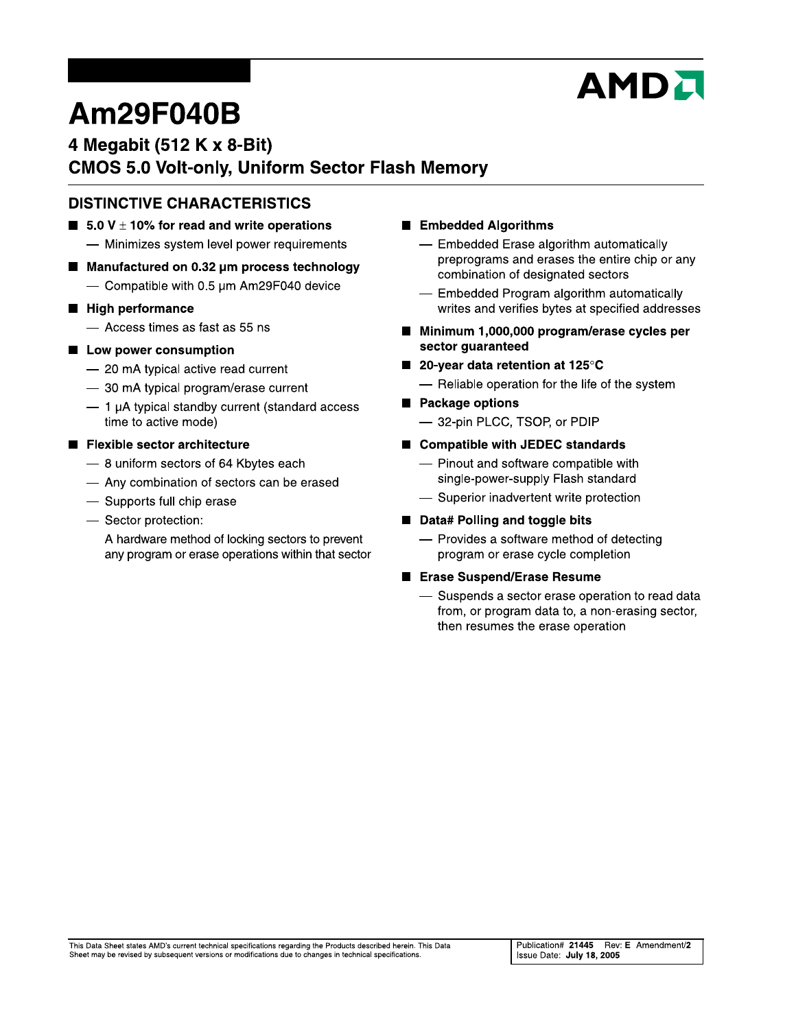# **AMDI**

# Am29F040B

# 4 Megabit (512 K x 8-Bit) **CMOS 5.0 Volt-only, Uniform Sector Flash Memory**

## **DISTINCTIVE CHARACTERISTICS**

- **5.0** V  $\pm$  10% for read and write operations
	- Minimizes system level power requirements
- Manufactured on 0.32 µm process technology - Compatible with 0.5 um Am29F040 device
- High performance
	- Access times as fast as 55 ns
- Low power consumption
	- 20 mA typical active read current
	- 30 mA typical program/erase current
	- $-$  1 µA typical standby current (standard access time to active mode)
- Flexible sector architecture
	- 8 uniform sectors of 64 Kbytes each
	- Any combination of sectors can be erased
	- Supports full chip erase
	- Sector protection:
		- A hardware method of locking sectors to prevent any program or erase operations within that sector
- Embedded Algorithms
	- Embedded Erase algorithm automatically preprograms and erases the entire chip or any combination of designated sectors
	- Embedded Program algorithm automatically writes and verifies bytes at specified addresses
- Minimum 1,000,000 program/erase cycles per sector guaranteed
- 20-year data retention at 125°C - Reliable operation for the life of the system
	-
- Package options - 32-pin PLCC, TSOP, or PDIP
- Compatible with JEDEC standards
	- Pinout and software compatible with single-power-supply Flash standard
	- Superior inadvertent write protection

#### ■ Data# Polling and toggle bits

- Provides a software method of detecting program or erase cycle completion

#### ■ Erase Suspend/Erase Resume

- Suspends a sector erase operation to read data from, or program data to, a non-erasing sector, then resumes the erase operation

This Data Sheet states AMD's current technical specifications regarding the Products described herein. This Data Sheet may be revised by subsequent versions or modifications due to changes in technical specifications.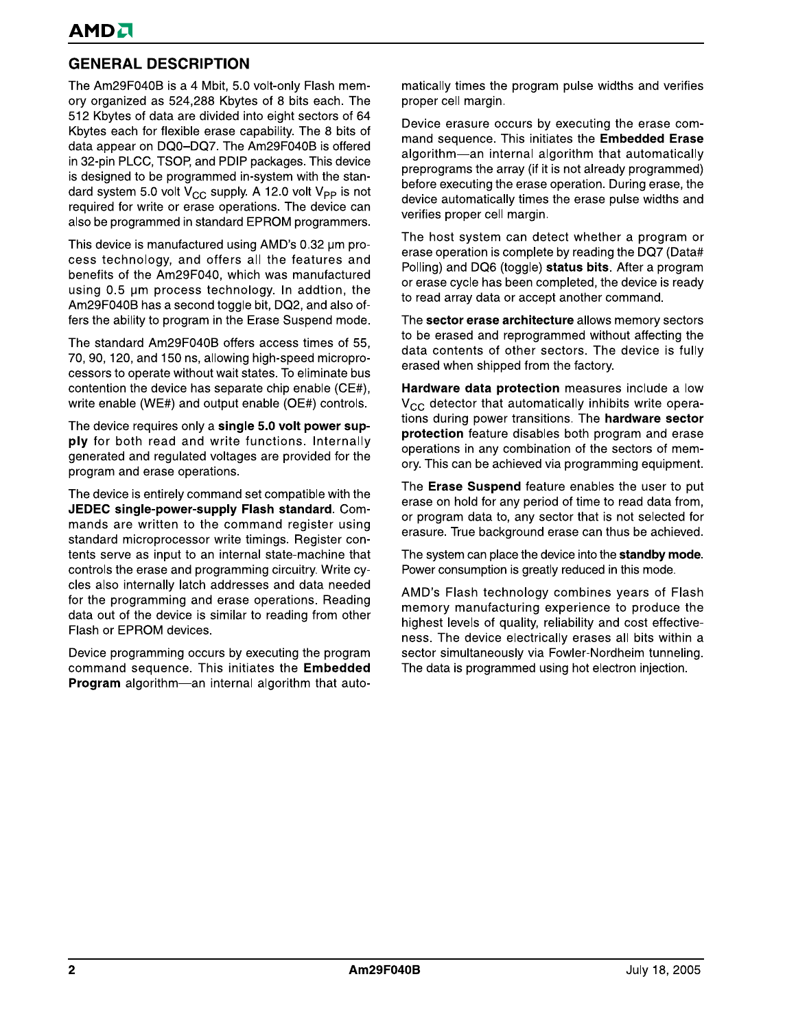# **GENERAL DESCRIPTION**

The Am29F040B is a 4 Mbit, 5.0 volt-only Flash memory organized as 524,288 Kbytes of 8 bits each. The 512 Kbytes of data are divided into eight sectors of 64 Kbytes each for flexible erase capability. The 8 bits of data appear on DQ0-DQ7. The Am29F040B is offered in 32-pin PLCC, TSOP, and PDIP packages. This device is designed to be programmed in-system with the standard system 5.0 volt  $V_{CC}$  supply. A 12.0 volt  $V_{PP}$  is not required for write or erase operations. The device can also be programmed in standard EPROM programmers.

This device is manufactured using AMD's 0.32 um process technology, and offers all the features and benefits of the Am29F040, which was manufactured using 0.5 µm process technology. In addtion, the Am29F040B has a second toggle bit, DQ2, and also offers the ability to program in the Erase Suspend mode.

The standard Am29F040B offers access times of 55, 70, 90, 120, and 150 ns, allowing high-speed microprocessors to operate without wait states. To eliminate bus contention the device has separate chip enable (CE#). write enable (WE#) and output enable (OE#) controls.

The device requires only a single 5.0 volt power supply for both read and write functions. Internally generated and regulated voltages are provided for the program and erase operations.

The device is entirely command set compatible with the JEDEC single-power-supply Flash standard. Commands are written to the command register using standard microprocessor write timings. Register contents serve as input to an internal state-machine that controls the erase and programming circuitry. Write cycles also internally latch addresses and data needed for the programming and erase operations. Reading data out of the device is similar to reading from other Flash or EPROM devices.

Device programming occurs by executing the program command sequence. This initiates the Embedded Program algorithm-an internal algorithm that automatically times the program pulse widths and verifies proper cell margin.

Device erasure occurs by executing the erase command sequence. This initiates the Embedded Erase algorithm—an internal algorithm that automatically preprograms the array (if it is not already programmed) before executing the erase operation. During erase, the device automatically times the erase pulse widths and verifies proper cell margin.

The host system can detect whether a program or erase operation is complete by reading the DQ7 (Data# Polling) and DQ6 (toggle) status bits. After a program or erase cycle has been completed, the device is ready to read array data or accept another command.

The sector erase architecture allows memory sectors to be erased and reprogrammed without affecting the data contents of other sectors. The device is fully erased when shipped from the factory.

Hardware data protection measures include a low  $V_{CC}$  detector that automatically inhibits write operations during power transitions. The hardware sector protection feature disables both program and erase operations in any combination of the sectors of memory. This can be achieved via programming equipment.

The Erase Suspend feature enables the user to put erase on hold for any period of time to read data from, or program data to, any sector that is not selected for erasure. True background erase can thus be achieved.

The system can place the device into the standby mode. Power consumption is greatly reduced in this mode.

AMD's Flash technology combines years of Flash memory manufacturing experience to produce the highest levels of quality, reliability and cost effectiveness. The device electrically erases all bits within a sector simultaneously via Fowler-Nordheim tunneling. The data is programmed using hot electron injection.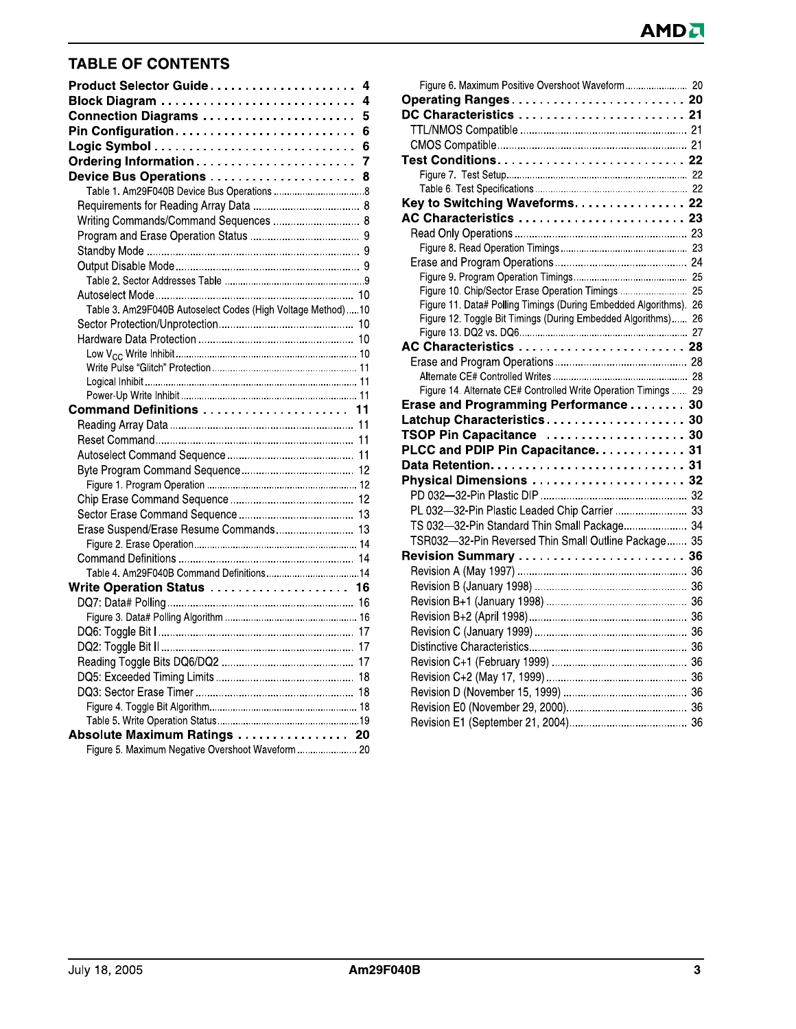# **TABLE OF CONTENTS**

| Product Selector Guide<br>4                                 |
|-------------------------------------------------------------|
| 4                                                           |
| Connection Diagrams<br>5                                    |
| Pin Configuration<br>6                                      |
| 6                                                           |
| Ordering Information<br>7                                   |
| Device Bus Operations<br>8                                  |
|                                                             |
|                                                             |
| Writing Commands/Command Sequences  8                       |
|                                                             |
|                                                             |
|                                                             |
|                                                             |
|                                                             |
| Table 3. Am29F040B Autoselect Codes (High Voltage Method)10 |
|                                                             |
|                                                             |
|                                                             |
|                                                             |
|                                                             |
|                                                             |
| Command Definitions  11                                     |
|                                                             |
|                                                             |
|                                                             |
|                                                             |
|                                                             |
|                                                             |
|                                                             |
| Erase Suspend/Erase Resume Commands 13                      |
|                                                             |
|                                                             |
| Table 4. Am29F040B Command Definitions14                    |
| Write Operation Status  16                                  |
|                                                             |
|                                                             |
|                                                             |
|                                                             |
|                                                             |
|                                                             |
|                                                             |
|                                                             |
|                                                             |
| Absolute Maximum Ratings  20                                |
| Figure 5. Maximum Negative Overshoot Waveform  20           |

| Figure 6. Maximum Positive Overshoot Waveform 20                  |  |
|-------------------------------------------------------------------|--|
| Operating Ranges 20                                               |  |
| DC Characteristics  21                                            |  |
|                                                                   |  |
|                                                                   |  |
|                                                                   |  |
|                                                                   |  |
|                                                                   |  |
| Key to Switching Waveforms. 22                                    |  |
| AC Characteristics  23                                            |  |
|                                                                   |  |
|                                                                   |  |
|                                                                   |  |
|                                                                   |  |
| Figure 10. Chip/Sector Erase Operation Timings  25                |  |
| Figure 11. Data# Polling Timings (During Embedded Algorithms). 26 |  |
| Figure 12. Toggle Bit Timings (During Embedded Algorithms) 26     |  |
|                                                                   |  |
| AC Characteristics  28                                            |  |
|                                                                   |  |
| Figure 14. Alternate CE# Controlled Write Operation Timings  29   |  |
| Erase and Programming Performance 30                              |  |
| Latchup Characteristics 30                                        |  |
| TSOP Pin Capacitance  30                                          |  |
| PLCC and PDIP Pin Capacitance. 31                                 |  |
|                                                                   |  |
| Physical Dimensions  32                                           |  |
|                                                                   |  |
| PL 032-32-Pin Plastic Leaded Chip Carrier  33                     |  |
| TS 032-32-Pin Standard Thin Small Package 34                      |  |
| TSR032-32-Pin Reversed Thin Small Outline Package 35              |  |
|                                                                   |  |
|                                                                   |  |
|                                                                   |  |
|                                                                   |  |
|                                                                   |  |
|                                                                   |  |
|                                                                   |  |
|                                                                   |  |
|                                                                   |  |
|                                                                   |  |
|                                                                   |  |
|                                                                   |  |
|                                                                   |  |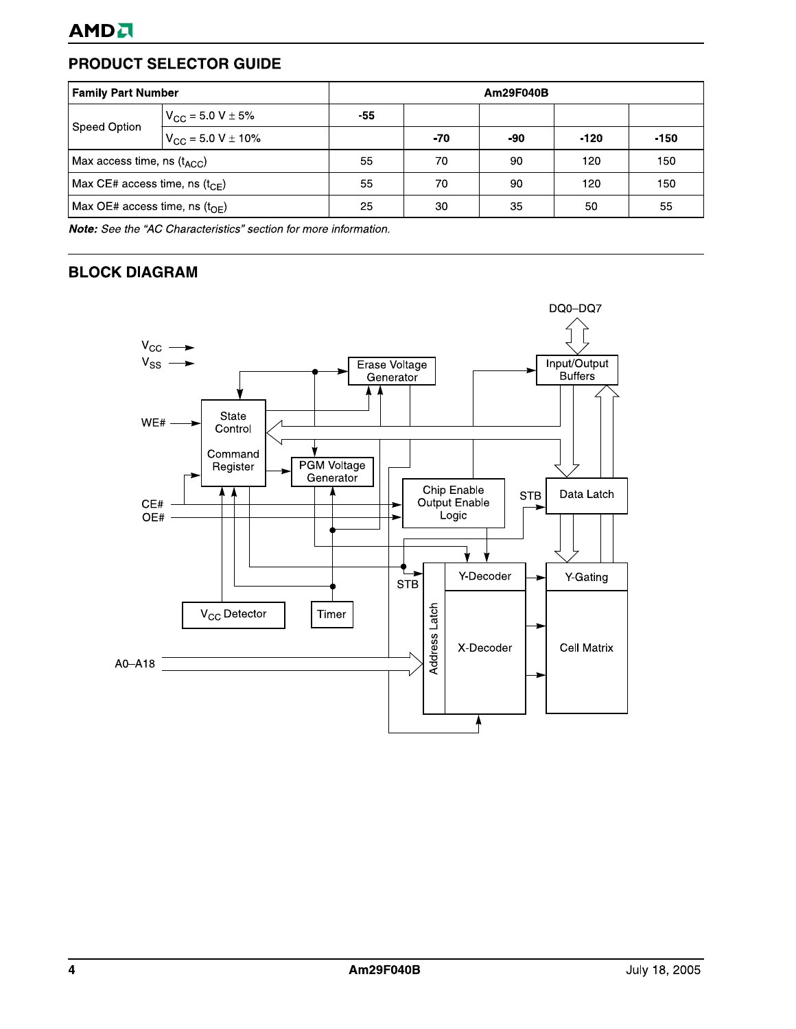# PRODUCT SELECTOR GUIDE

| <b>Family Part Number</b>                 |                                   | Am29F040B |     |     |        |        |  |  |  |  |
|-------------------------------------------|-----------------------------------|-----------|-----|-----|--------|--------|--|--|--|--|
|                                           | $V_{\rm CC}$ = 5.0 V $\pm$ 5%     | -55       |     |     |        |        |  |  |  |  |
| <b>Speed Option</b>                       | $V_{\text{CC}}$ = 5.0 V $\pm$ 10% |           | -70 | -90 | $-120$ | $-150$ |  |  |  |  |
| Max access time, ns $(t_{\text{ACC}})$    |                                   | 55        | 70  | 90  | 120    | 150    |  |  |  |  |
| Max CE# access time, ns $(t_{CF})$        |                                   | 55        | 70  | 90  | 120    | 150    |  |  |  |  |
| Max OE# access time, ns $(t_{\text{OF}})$ |                                   | 25        | 30  | 35  | 50     | 55     |  |  |  |  |

Note: See the "AC Characteristics" section for more information.

## **BLOCK DIAGRAM**

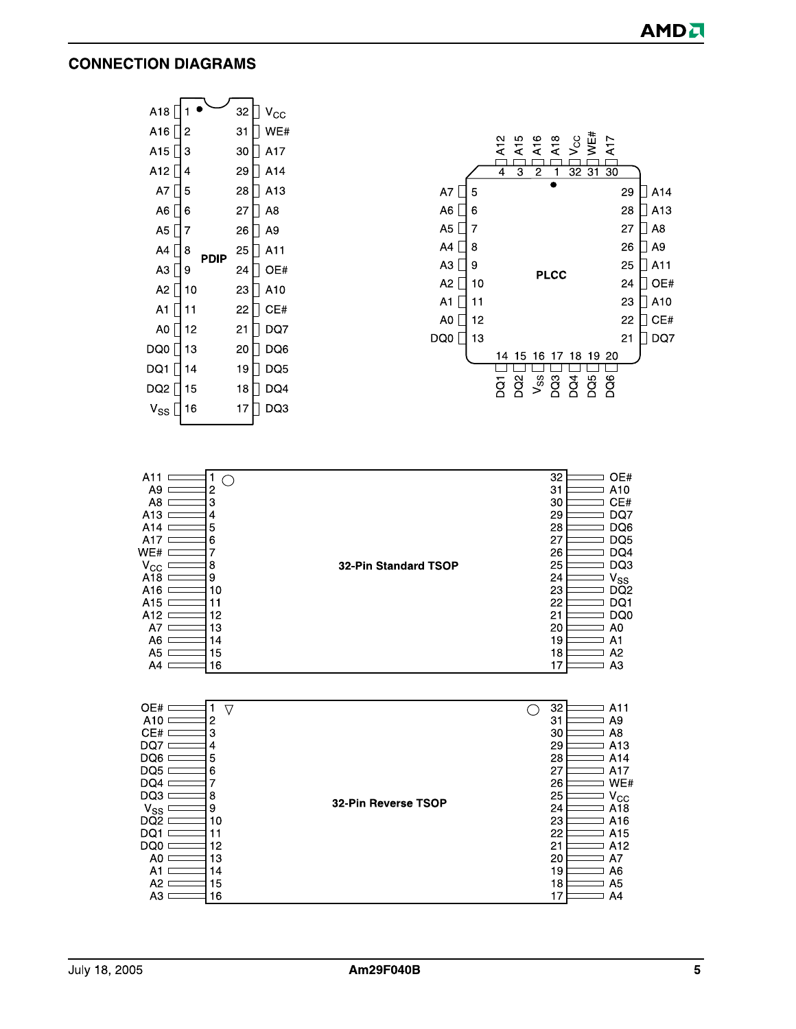#### **CONNECTION DIAGRAMS**



| OE#.<br>$\triangledown$<br>A10<br>2<br>CE#<br>3<br>DQ7<br>4<br>DQ6<br>5<br>DQ5<br>6<br>DQ4<br>DQ3<br>8<br>$V_{SS}$<br>9<br>DQ2<br>10<br>DQ1<br>DQ0<br>12<br>13<br>A0 | 32-Pin Reverse TSOP | 32<br>A11<br>31<br>A9<br>A8<br>30<br>29<br>A <sub>13</sub><br>28<br>A14<br>27<br>A17<br>WE#<br>26<br>$V_{\rm CC}$<br>25<br>24<br>A18<br>23<br>A16<br>22<br>A <sub>15</sub><br>21<br>A <sub>12</sub><br>20<br>A7 |
|----------------------------------------------------------------------------------------------------------------------------------------------------------------------|---------------------|-----------------------------------------------------------------------------------------------------------------------------------------------------------------------------------------------------------------|
| 14<br>A1<br>A <sub>2</sub><br>15<br>16<br>A3                                                                                                                         |                     | 19<br>A6<br>18<br>A5<br>17<br>A4                                                                                                                                                                                |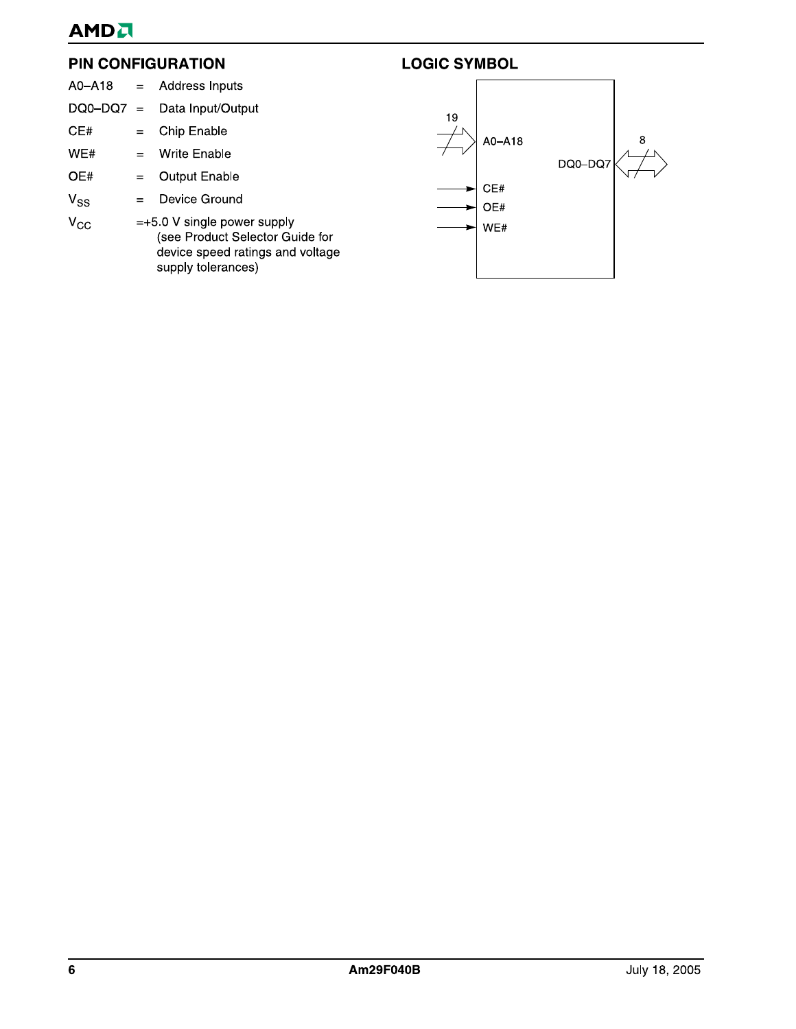# **AMDA**

#### **PIN CONFIGURATION**

| A0-A18   | $=$      | Address Inputs                                                                                                             |    |            |         |   |
|----------|----------|----------------------------------------------------------------------------------------------------------------------------|----|------------|---------|---|
| DQ0-DQ7  | $\equiv$ | Data Input/Output                                                                                                          | 19 |            |         |   |
| CE#      | $=$      | Chip Enable                                                                                                                |    | A0-A18     |         | 8 |
| WE#      | $=$      | Write Enable                                                                                                               |    |            | DQ0-DQ7 |   |
| OE#      | $=$      | <b>Output Enable</b>                                                                                                       |    |            |         |   |
| $V_{SS}$ | $=$      | Device Ground                                                                                                              |    | CE#<br>OE# |         |   |
| $V_{CC}$ |          | $=+5.0$ V single power supply<br>(see Product Selector Guide for<br>device speed ratings and voltage<br>supply tolerances) |    | WE#        |         |   |

**LOGIC SYMBOL**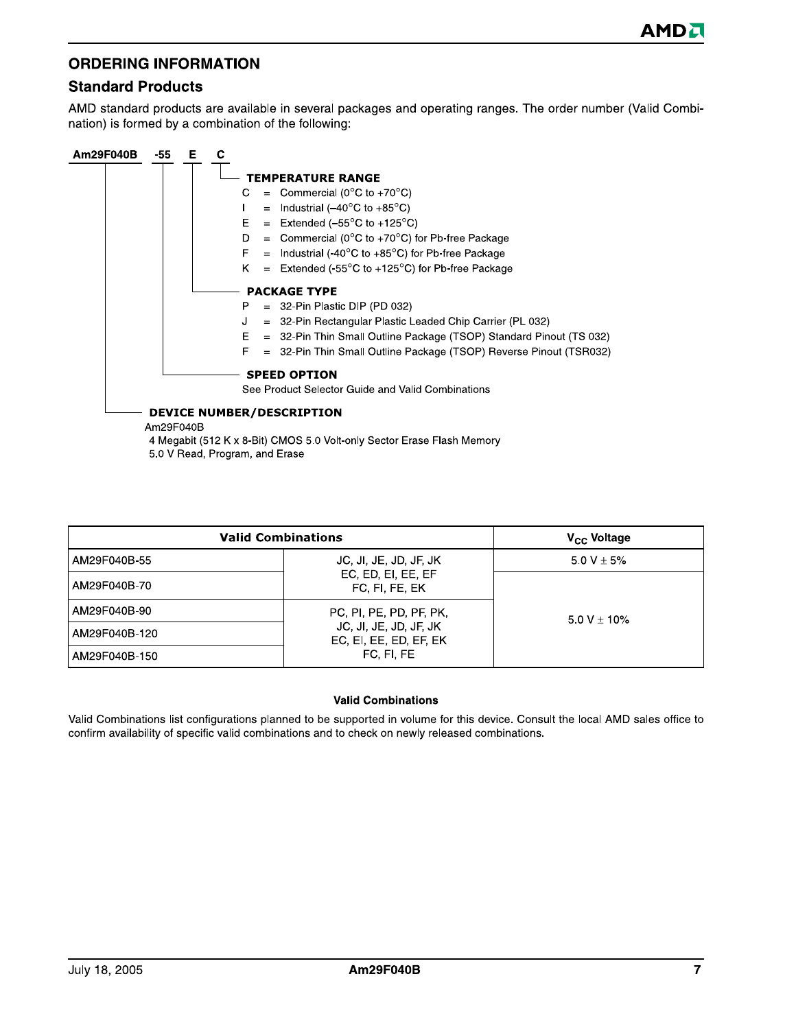#### **ORDERING INFORMATION**

#### **Standard Products**

AMD standard products are available in several packages and operating ranges. The order number (Valid Combination) is formed by a combination of the following:



5.0 V Read, Program, and Erase

| <b>Valid Combinations</b> | V <sub>CC</sub> Voltage                          |                |
|---------------------------|--------------------------------------------------|----------------|
| AM29F040B-55              | JC, JI, JE, JD, JF, JK                           | 5.0 V $\pm$ 5% |
| AM29F040B-70              | EC, ED, EI, EE, EF<br>FC, FI, FE, EK             |                |
| AM29F040B-90              | PC, PI, PE, PD, PF, PK,                          | $5.0 V + 10\%$ |
| AM29F040B-120             | JC, JI, JE, JD, JF, JK<br>EC, EI, EE, ED, EF, EK |                |
| AM29F040B-150             | FC, FI, FE                                       |                |

#### **Valid Combinations**

Valid Combinations list configurations planned to be supported in volume for this device. Consult the local AMD sales office to confirm availability of specific valid combinations and to check on newly released combinations.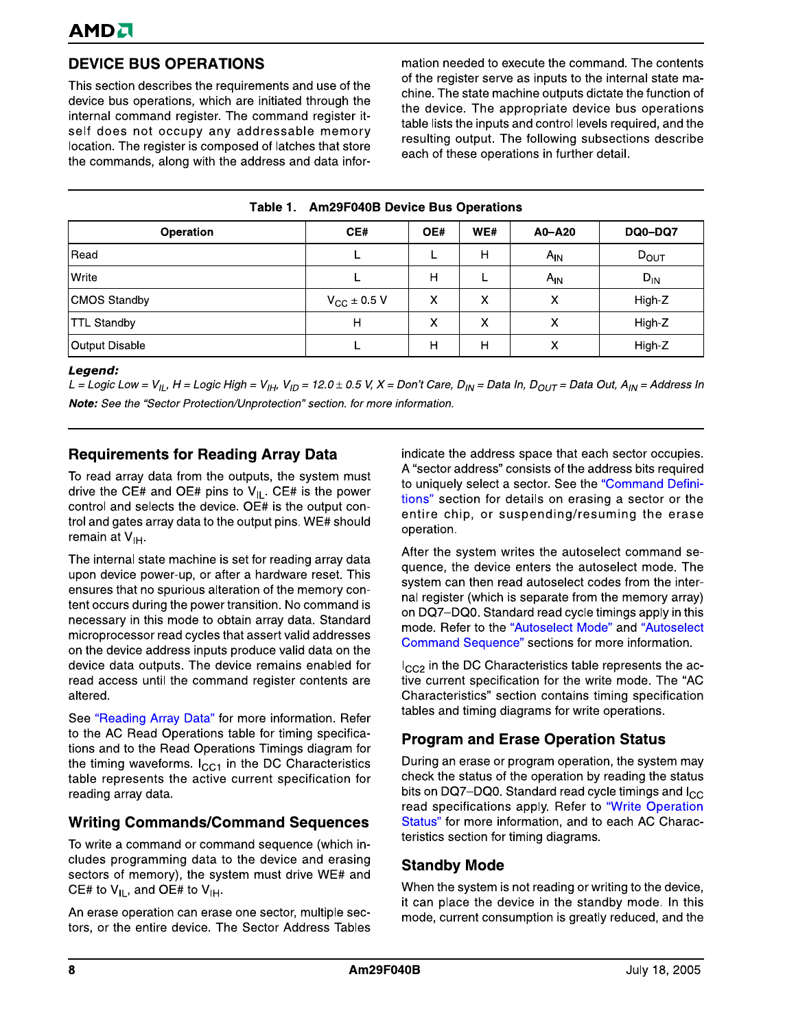# **DEVICE BUS OPERATIONS**

This section describes the requirements and use of the device bus operations, which are initiated through the internal command register. The command register itself does not occupy any addressable memory location. The register is composed of latches that store the commands, along with the address and data information needed to execute the command. The contents of the register serve as inputs to the internal state machine. The state machine outputs dictate the function of the device. The appropriate device bus operations table lists the inputs and control levels required, and the resulting output. The following subsections describe each of these operations in further detail.

| Table 1. Am29F040B Device Bus Operations |  |  |  |
|------------------------------------------|--|--|--|
|------------------------------------------|--|--|--|

| Operation             | CE#                  | OE#    | WE# | A0-A20   | <b>DQ0-DQ7</b>   |
|-----------------------|----------------------|--------|-----|----------|------------------|
| Read                  |                      |        | H   | $A_{IN}$ | $D_{\text{OUT}}$ |
| Write                 |                      | н      |     | $A_{IN}$ | $D_{IN}$         |
| <b>CMOS Standby</b>   | $V_{\rm CC}$ ± 0.5 V | v      |     | v        | High-Z           |
| <b>TTL Standby</b>    | н                    | v<br>́ |     | v<br>́   | High-Z           |
| <b>Output Disable</b> |                      | н      | Н   | v<br>↗   | High-Z           |

#### Legend:

L = Logic Low =  $V_{1L}$ , H = Logic High =  $V_{1H}$ ,  $V_{1D}$  = 12.0 ± 0.5 V, X = Don't Care, D<sub>IN</sub> = Data In, D<sub>OUT</sub> = Data Out, A<sub>IN</sub> = Address In Note: See the "Sector Protection/Unprotection" section. for more information.

#### **Requirements for Reading Array Data**

To read array data from the outputs, the system must drive the CE# and OE# pins to  $V_{IL}$ . CE# is the power control and selects the device. OE# is the output control and gates array data to the output pins. WE# should remain at V<sub>IH</sub>.

The internal state machine is set for reading array data upon device power-up, or after a hardware reset. This ensures that no spurious alteration of the memory content occurs during the power transition. No command is necessary in this mode to obtain array data. Standard microprocessor read cycles that assert valid addresses on the device address inputs produce valid data on the device data outputs. The device remains enabled for read access until the command register contents are altered.

See "Reading Array Data" for more information. Refer to the AC Read Operations table for timing specifications and to the Read Operations Timings diagram for the timing waveforms.  $I_{CC1}$  in the DC Characteristics table represents the active current specification for reading array data.

#### **Writing Commands/Command Sequences**

To write a command or command sequence (which includes programming data to the device and erasing sectors of memory), the system must drive WE# and CE# to  $V_{IL}$ , and OE# to  $V_{IH}$ .

An erase operation can erase one sector, multiple sectors, or the entire device. The Sector Address Tables indicate the address space that each sector occupies. A "sector address" consists of the address bits required to uniquely select a sector. See the "Command Definitions" section for details on erasing a sector or the entire chip, or suspending/resuming the erase operation.

After the system writes the autoselect command sequence, the device enters the autoselect mode. The system can then read autoselect codes from the internal register (which is separate from the memory array) on DQ7-DQ0. Standard read cycle timings apply in this mode. Refer to the "Autoselect Mode" and "Autoselect Command Sequence" sections for more information.

 $I_{CC2}$  in the DC Characteristics table represents the active current specification for the write mode. The "AC Characteristics" section contains timing specification tables and timing diagrams for write operations.

#### **Program and Erase Operation Status**

During an erase or program operation, the system may check the status of the operation by reading the status bits on DQ7-DQ0. Standard read cycle timings and  $I_{CC}$ read specifications apply. Refer to "Write Operation Status" for more information, and to each AC Characteristics section for timing diagrams.

#### **Standby Mode**

When the system is not reading or writing to the device, it can place the device in the standby mode. In this mode, current consumption is greatly reduced, and the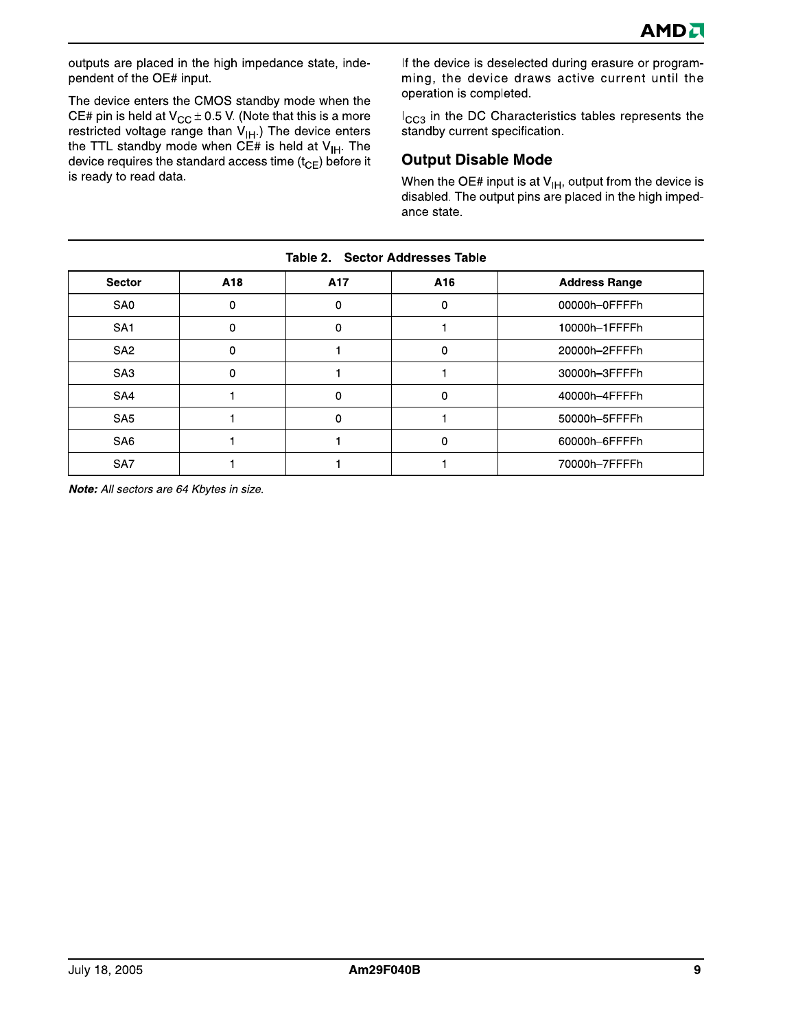outputs are placed in the high impedance state, independent of the OE# input.

The device enters the CMOS standby mode when the CE# pin is held at  $V_{CC} \pm 0.5$  V. (Note that this is a more restricted voltage range than  $V_{\text{IH}}$ .) The device enters the TTL standby mode when CE# is held at  $V_{\text{IH}}$ . The device requires the standard access time  $(t_{CE})$  before it is ready to read data.

If the device is deselected during erasure or programming, the device draws active current until the operation is completed.

I<sub>CC3</sub> in the DC Characteristics tables represents the standby current specification.

#### **Output Disable Mode**

When the OE# input is at  $V_{H}$ , output from the device is disabled. The output pins are placed in the high impedance state.

| <b>Sector</b>   | A18      | A17 | A16 | <b>Address Range</b> |  |  |  |  |  |  |  |
|-----------------|----------|-----|-----|----------------------|--|--|--|--|--|--|--|
| SA <sub>0</sub> | 0        | U   | 0   | 00000h-0FFFFh        |  |  |  |  |  |  |  |
| SA <sub>1</sub> | 0        | 0   |     | 10000h-1FFFFh        |  |  |  |  |  |  |  |
| SA <sub>2</sub> | $\Omega$ |     | 0   | 20000h-2FFFFh        |  |  |  |  |  |  |  |
| SA <sub>3</sub> | 0        |     |     | 30000h-3FFFFh        |  |  |  |  |  |  |  |
| SA4             |          | 0   | 0   | 40000h-4FFFFh        |  |  |  |  |  |  |  |
| SA <sub>5</sub> |          | 0   |     | 50000h-5FFFFh        |  |  |  |  |  |  |  |
| SA <sub>6</sub> |          |     | 0   | 60000h-6FFFFh        |  |  |  |  |  |  |  |
| SA7             |          |     |     | 70000h-7FFFFh        |  |  |  |  |  |  |  |
|                 |          |     |     |                      |  |  |  |  |  |  |  |

Table 2. **Sector Addresses Table** 

Note: All sectors are 64 Kbytes in size.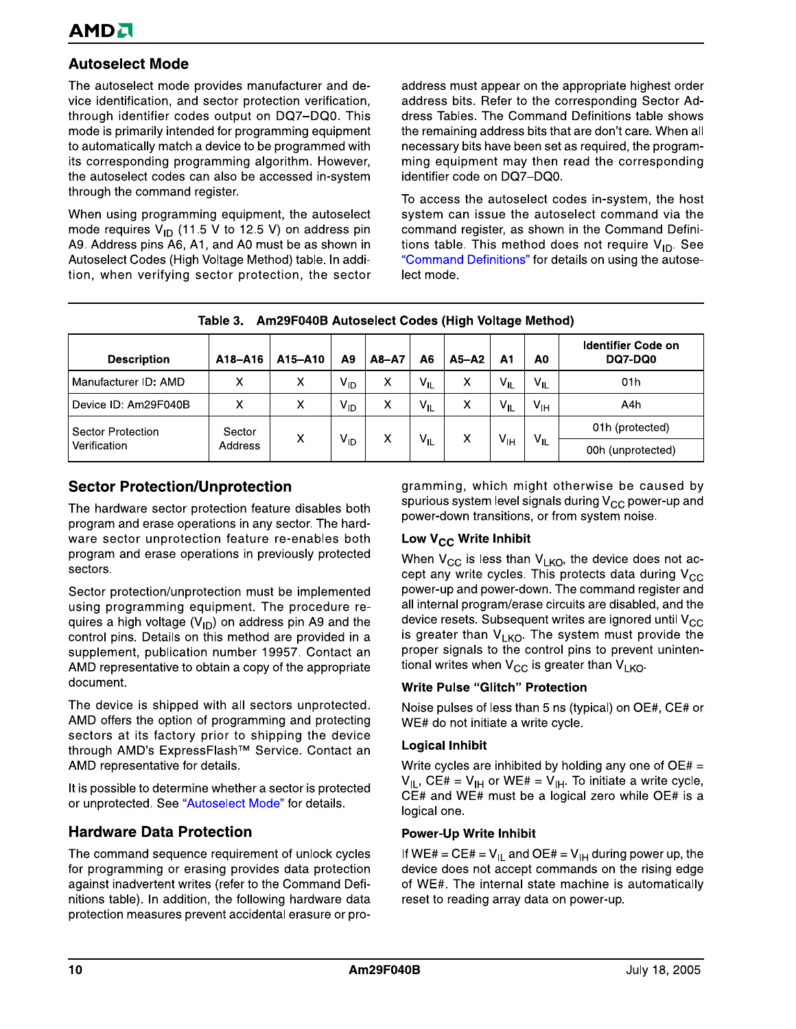#### **Autoselect Mode**

The autoselect mode provides manufacturer and device identification, and sector protection verification, through identifier codes output on DQ7-DQ0. This mode is primarily intended for programming equipment to automatically match a device to be programmed with its corresponding programming algorithm. However, the autoselect codes can also be accessed in-system through the command register.

When using programming equipment, the autoselect mode requires  $V_{ID}$  (11.5 V to 12.5 V) on address pin A9. Address pins A6, A1, and A0 must be as shown in Autoselect Codes (High Voltage Method) table. In addition, when verifying sector protection, the sector address must appear on the appropriate highest order address bits. Refer to the corresponding Sector Address Tables. The Command Definitions table shows the remaining address bits that are don't care. When all necessary bits have been set as required, the programming equipment may then read the corresponding identifier code on DQ7-DQ0.

To access the autoselect codes in-system, the host system can issue the autoselect command via the command register, as shown in the Command Definitions table. This method does not require  $V_{ID}$ . See "Command Definitions" for details on using the autoselect mode.

| Am29F040B Autoselect Codes (High Voltage Method)<br>Table 3. |                   |         |                 |           |                 |           |                 |                 |                               |  |
|--------------------------------------------------------------|-------------------|---------|-----------------|-----------|-----------------|-----------|-----------------|-----------------|-------------------------------|--|
| <b>Description</b>                                           | A18-A16           | A15-A10 | A <sub>9</sub>  | $A8 - A7$ | Α6              | $A5 - A2$ | А1              | A0              | Identifier Code on<br>DQ7-DQ0 |  |
| Manufacturer ID: AMD                                         | х                 | х       | V <sub>ID</sub> | X         | $V_{ L}$        | Χ         | $V_{IL}$        | $V_{IL}$        | 01h                           |  |
| Device ID: Am29F040B                                         | х                 | х       | $V_{ID}$        | x         | $V_{IL}$        | X         | $V_{IL}$        | $V_{\text{IH}}$ | A4h                           |  |
| Sector Protection                                            | Sector<br>Address | х       | V <sub>ID</sub> |           | $V_{\parallel}$ |           |                 |                 | 01h (protected)               |  |
| Verification                                                 |                   |         |                 | x         |                 | x         | V <sub>IH</sub> | $V_{IL}$        | 00h (unprotected)             |  |

## **Sector Protection/Unprotection**

The hardware sector protection feature disables both program and erase operations in any sector. The hardware sector unprotection feature re-enables both program and erase operations in previously protected sectors.

Sector protection/unprotection must be implemented using programming equipment. The procedure requires a high voltage ( $V_{ID}$ ) on address pin A9 and the control pins. Details on this method are provided in a supplement, publication number 19957. Contact an AMD representative to obtain a copy of the appropriate document.

The device is shipped with all sectors unprotected. AMD offers the option of programming and protecting sectors at its factory prior to shipping the device through AMD's ExpressFlash™ Service. Contact an AMD representative for details.

It is possible to determine whether a sector is protected or unprotected. See "Autoselect Mode" for details.

#### **Hardware Data Protection**

The command sequence requirement of unlock cycles for programming or erasing provides data protection against inadvertent writes (refer to the Command Definitions table). In addition, the following hardware data protection measures prevent accidental erasure or programming, which might otherwise be caused by spurious system level signals during  $V_{CC}$  power-up and power-down transitions, or from system noise.

#### Low V<sub>CC</sub> Write Inhibit

When  $V_{CC}$  is less than  $V_{LKO}$ , the device does not accept any write cycles. This protects data during V<sub>CC</sub> power-up and power-down. The command register and all internal program/erase circuits are disabled, and the device resets. Subsequent writes are ignored until  $V_{CC}$ is greater than V<sub>LKO</sub>. The system must provide the proper signals to the control pins to prevent unintentional writes when  $V_{CC}$  is greater than  $V_{LKO}$ .

#### **Write Pulse "Glitch" Protection**

Noise pulses of less than 5 ns (typical) on OE#, CE# or WE# do not initiate a write cycle.

#### **Logical Inhibit**

Write cycles are inhibited by holding any one of  $OE# =$  $V_{IL}$ , CE# =  $V_{IH}$  or WE# =  $V_{IH}$ . To initiate a write cycle, CE# and WE# must be a logical zero while OE# is a logical one.

#### **Power-Up Write Inhibit**

If WE# = CE# =  $V_{IL}$  and OE# =  $V_{IH}$  during power up, the device does not accept commands on the rising edge of WE#. The internal state machine is automatically reset to reading array data on power-up.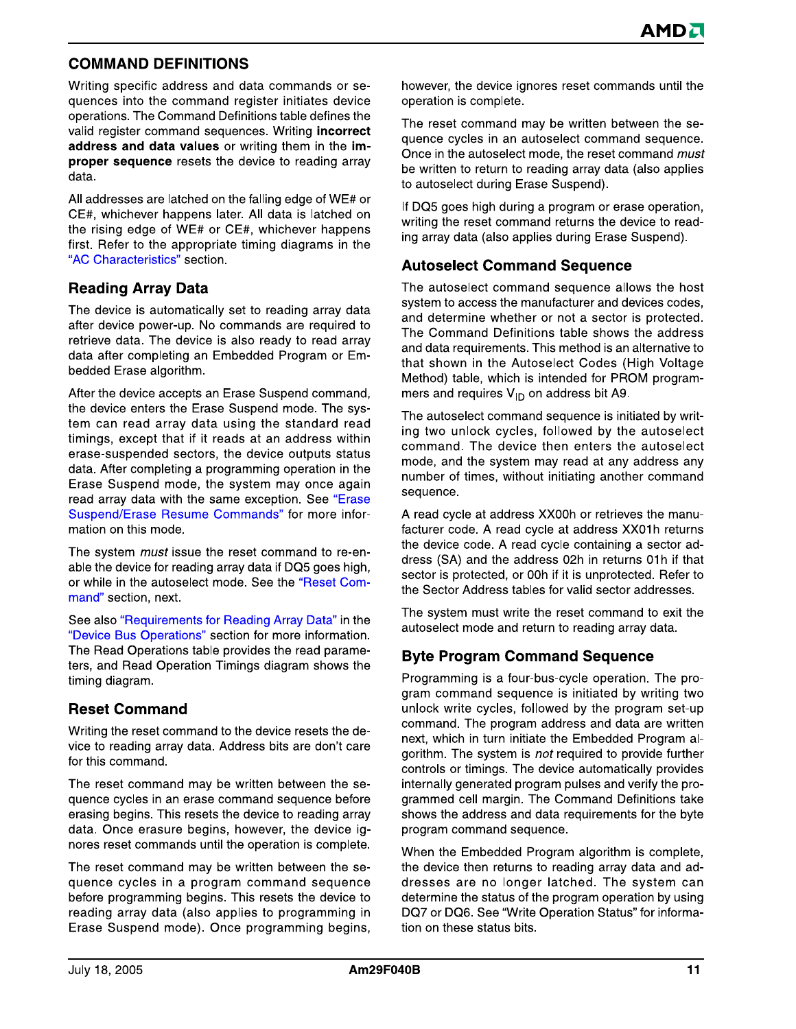#### **COMMAND DEFINITIONS**

Writing specific address and data commands or sequences into the command register initiates device operations. The Command Definitions table defines the valid register command sequences. Writing incorrect address and data values or writing them in the improper sequence resets the device to reading array data.

All addresses are latched on the falling edge of WE# or CE#, whichever happens later. All data is latched on the rising edge of WE# or CE#, whichever happens first. Refer to the appropriate timing diagrams in the "AC Characteristics" section.

#### **Reading Array Data**

The device is automatically set to reading array data after device power-up. No commands are required to retrieve data. The device is also ready to read array data after completing an Embedded Program or Embedded Erase algorithm.

After the device accepts an Erase Suspend command, the device enters the Erase Suspend mode. The system can read array data using the standard read timings, except that if it reads at an address within erase-suspended sectors, the device outputs status data. After completing a programming operation in the Erase Suspend mode, the system may once again read array data with the same exception. See "Erase Suspend/Erase Resume Commands" for more information on this mode.

The system *must* issue the reset command to re-enable the device for reading array data if DQ5 goes high, or while in the autoselect mode. See the "Reset Command" section, next.

See also "Requirements for Reading Array Data" in the "Device Bus Operations" section for more information. The Read Operations table provides the read parameters, and Read Operation Timings diagram shows the timing diagram.

#### **Reset Command**

Writing the reset command to the device resets the device to reading array data. Address bits are don't care for this command.

The reset command may be written between the sequence cycles in an erase command sequence before erasing begins. This resets the device to reading array data. Once erasure begins, however, the device ignores reset commands until the operation is complete.

The reset command may be written between the sequence cycles in a program command sequence before programming begins. This resets the device to reading array data (also applies to programming in Erase Suspend mode). Once programming begins, however, the device ignores reset commands until the operation is complete.

The reset command may be written between the sequence cycles in an autoselect command sequence. Once in the autoselect mode, the reset command must be written to return to reading array data (also applies to autoselect during Erase Suspend).

If DQ5 goes high during a program or erase operation, writing the reset command returns the device to reading array data (also applies during Erase Suspend).

#### **Autoselect Command Sequence**

The autoselect command sequence allows the host system to access the manufacturer and devices codes. and determine whether or not a sector is protected. The Command Definitions table shows the address and data requirements. This method is an alternative to that shown in the Autoselect Codes (High Voltage Method) table, which is intended for PROM programmers and requires  $V_{ID}$  on address bit A9.

The autoselect command sequence is initiated by writing two unlock cycles, followed by the autoselect command. The device then enters the autoselect mode, and the system may read at any address any number of times, without initiating another command sequence.

A read cycle at address XX00h or retrieves the manufacturer code. A read cycle at address XX01h returns the device code. A read cycle containing a sector address (SA) and the address 02h in returns 01h if that sector is protected, or 00h if it is unprotected. Refer to the Sector Address tables for valid sector addresses.

The system must write the reset command to exit the autoselect mode and return to reading array data.

#### **Byte Program Command Sequence**

Programming is a four-bus-cycle operation. The program command sequence is initiated by writing two unlock write cycles, followed by the program set-up command. The program address and data are written next, which in turn initiate the Embedded Program algorithm. The system is not required to provide further controls or timings. The device automatically provides internally generated program pulses and verify the programmed cell margin. The Command Definitions take shows the address and data requirements for the byte program command sequence.

When the Embedded Program algorithm is complete, the device then returns to reading array data and addresses are no longer latched. The system can determine the status of the program operation by using DQ7 or DQ6. See "Write Operation Status" for information on these status bits.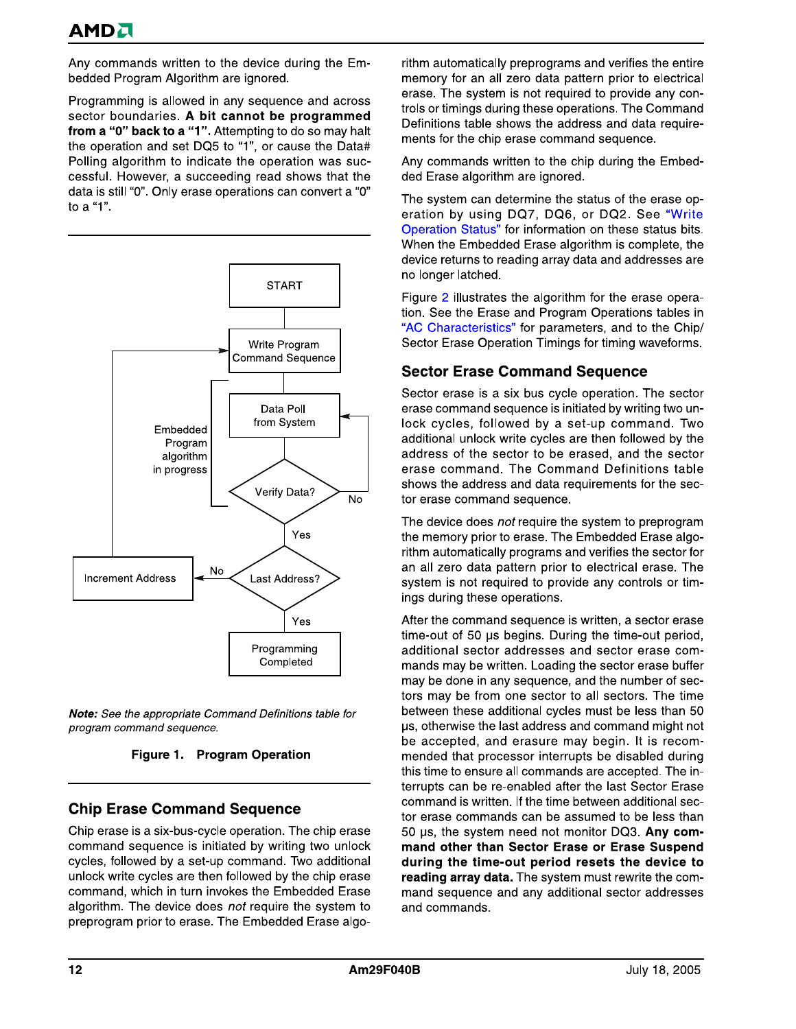Any commands written to the device during the Embedded Program Algorithm are ignored.

Programming is allowed in any sequence and across sector boundaries. A bit cannot be programmed from a "0" back to a "1". Attempting to do so may halt the operation and set DQ5 to "1", or cause the Data# Polling algorithm to indicate the operation was successful. However, a succeeding read shows that the data is still "0". Only erase operations can convert a "0" to a "1".



Note: See the appropriate Command Definitions table for program command sequence.

Figure 1. Program Operation

#### **Chip Erase Command Sequence**

Chip erase is a six-bus-cycle operation. The chip erase command sequence is initiated by writing two unlock cycles, followed by a set-up command. Two additional unlock write cycles are then followed by the chip erase command, which in turn invokes the Embedded Erase algorithm. The device does not require the system to preprogram prior to erase. The Embedded Erase algorithm automatically preprograms and verifies the entire memory for an all zero data pattern prior to electrical erase. The system is not required to provide any controls or timings during these operations. The Command Definitions table shows the address and data requirements for the chip erase command sequence.

Any commands written to the chip during the Embedded Erase algorithm are ignored.

The system can determine the status of the erase operation by using DQ7, DQ6, or DQ2. See "Write Operation Status" for information on these status bits. When the Embedded Erase algorithm is complete, the device returns to reading array data and addresses are no longer latched.

Figure 2 illustrates the algorithm for the erase operation. See the Erase and Program Operations tables in "AC Characteristics" for parameters, and to the Chip/ Sector Erase Operation Timings for timing waveforms.

#### **Sector Erase Command Sequence**

Sector erase is a six bus cycle operation. The sector erase command sequence is initiated by writing two unlock cycles, followed by a set-up command. Two additional unlock write cycles are then followed by the address of the sector to be erased, and the sector erase command. The Command Definitions table shows the address and data requirements for the sector erase command sequence.

The device does not require the system to preprogram the memory prior to erase. The Embedded Erase algorithm automatically programs and verifies the sector for an all zero data pattern prior to electrical erase. The system is not required to provide any controls or timings during these operations.

After the command sequence is written, a sector erase time-out of 50 µs begins. During the time-out period, additional sector addresses and sector erase commands may be written. Loading the sector erase buffer may be done in any sequence, and the number of sectors may be from one sector to all sectors. The time between these additional cycles must be less than 50 us, otherwise the last address and command might not be accepted, and erasure may begin. It is recommended that processor interrupts be disabled during this time to ensure all commands are accepted. The interrupts can be re-enabled after the last Sector Erase command is written. If the time between additional sector erase commands can be assumed to be less than 50 µs, the system need not monitor DQ3. Any command other than Sector Erase or Erase Suspend during the time-out period resets the device to reading array data. The system must rewrite the command sequence and any additional sector addresses and commands.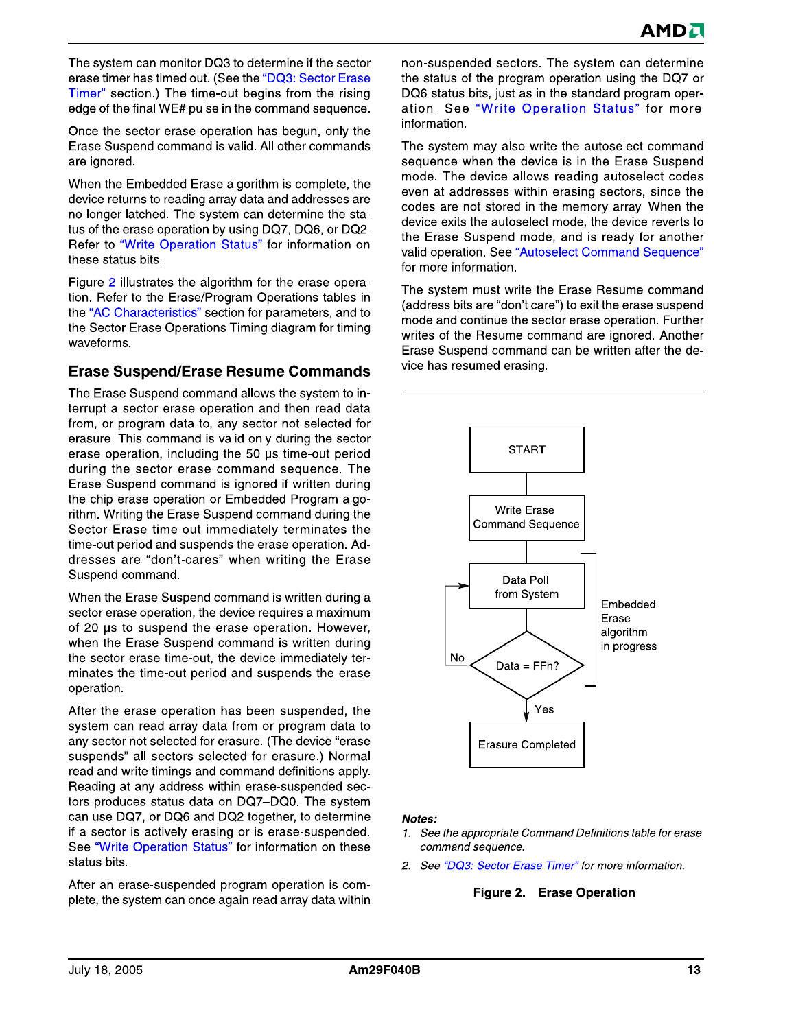The system can monitor DQ3 to determine if the sector erase timer has timed out. (See the "DQ3: Sector Erase Timer" section.) The time-out begins from the rising edge of the final WE# pulse in the command sequence.

Once the sector erase operation has begun, only the Erase Suspend command is valid. All other commands are ignored.

When the Embedded Erase algorithm is complete, the device returns to reading array data and addresses are no longer latched. The system can determine the status of the erase operation by using DQ7, DQ6, or DQ2. Refer to "Write Operation Status" for information on these status bits.

Figure 2 illustrates the algorithm for the erase operation. Refer to the Erase/Program Operations tables in the "AC Characteristics" section for parameters, and to the Sector Erase Operations Timing diagram for timing waveforms.

#### **Erase Suspend/Erase Resume Commands**

The Erase Suspend command allows the system to interrupt a sector erase operation and then read data from, or program data to, any sector not selected for erasure. This command is valid only during the sector erase operation, including the 50 µs time-out period during the sector erase command sequence. The Erase Suspend command is ignored if written during the chip erase operation or Embedded Program algorithm. Writing the Erase Suspend command during the Sector Erase time-out immediately terminates the time-out period and suspends the erase operation. Addresses are "don't-cares" when writing the Erase Suspend command.

When the Erase Suspend command is written during a sector erase operation, the device requires a maximum of 20 us to suspend the erase operation. However, when the Erase Suspend command is written during the sector erase time-out, the device immediately terminates the time-out period and suspends the erase operation.

After the erase operation has been suspended, the system can read array data from or program data to any sector not selected for erasure. (The device "erase suspends" all sectors selected for erasure.) Normal read and write timings and command definitions apply. Reading at any address within erase-suspended sectors produces status data on DQ7-DQ0. The system can use DQ7, or DQ6 and DQ2 together, to determine if a sector is actively erasing or is erase-suspended. See "Write Operation Status" for information on these status bits.

After an erase-suspended program operation is complete, the system can once again read array data within non-suspended sectors. The system can determine the status of the program operation using the DQ7 or DQ6 status bits, just as in the standard program operation. See "Write Operation Status" for more information.

The system may also write the autoselect command sequence when the device is in the Erase Suspend mode. The device allows reading autoselect codes even at addresses within erasing sectors, since the codes are not stored in the memory array. When the device exits the autoselect mode, the device reverts to the Erase Suspend mode, and is ready for another valid operation. See "Autoselect Command Sequence" for more information.

The system must write the Erase Resume command (address bits are "don't care") to exit the erase suspend mode and continue the sector erase operation. Further writes of the Resume command are ignored. Another Erase Suspend command can be written after the device has resumed erasing.



#### Notes:

- 1. See the appropriate Command Definitions table for erase command sequence.
- 2. See "DQ3: Sector Erase Timer" for more information.

#### Figure 2. Erase Operation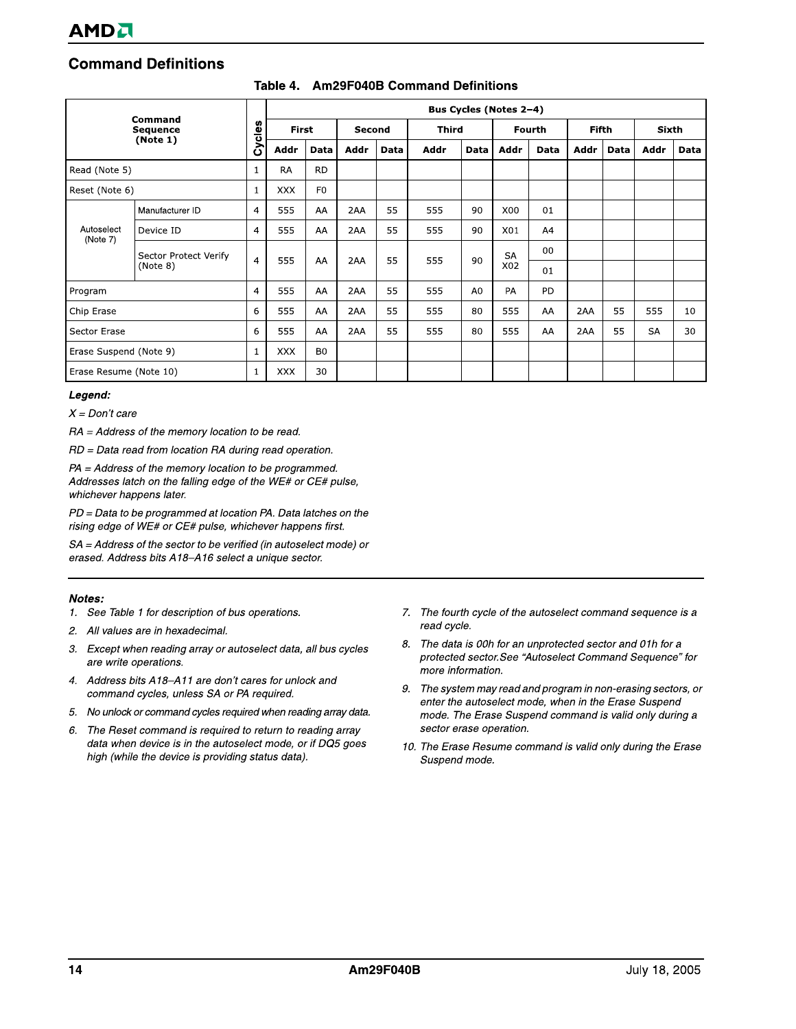## **Command Definitions**

| Command<br><b>Sequence</b><br>(Note 1) |                       |                | Bus Cycles (Notes 2-4) |                |               |      |              |                |           |      |              |      |              |             |
|----------------------------------------|-----------------------|----------------|------------------------|----------------|---------------|------|--------------|----------------|-----------|------|--------------|------|--------------|-------------|
|                                        |                       | Cycles         | <b>First</b>           |                | <b>Second</b> |      | <b>Third</b> |                | Fourth    |      | <b>Fifth</b> |      | <b>Sixth</b> |             |
|                                        |                       |                | Addr                   | Data           | Addr          | Data | <b>Addr</b>  | <b>Data</b>    | Addr      | Data | Addr         | Data | <b>Addr</b>  | <b>Data</b> |
| Read (Note 5)                          |                       | $\mathbf{1}$   | <b>RA</b>              | <b>RD</b>      |               |      |              |                |           |      |              |      |              |             |
| Reset (Note 6)                         |                       | 1              | <b>XXX</b>             | F <sub>0</sub> |               |      |              |                |           |      |              |      |              |             |
|                                        | Manufacturer ID       | $\overline{4}$ | 555                    | AA             | 2AA           | 55   | 555          | 90             | X00       | 01   |              |      |              |             |
| Autoselect<br>(Note 7)                 | Device ID             | $\overline{4}$ | 555                    | AA             | 2AA           | 55   | 555          | 90             | X01       | A4   |              |      |              |             |
|                                        | Sector Protect Verify |                |                        |                |               | 55   |              | 90             | <b>SA</b> | 00   |              |      |              |             |
|                                        | (Note 8)              | $\overline{4}$ | 555                    | AA             | 2AA           |      | 555          |                | X02       | 01   |              |      |              |             |
| Program                                |                       | 4              | 555                    | AA             | 2AA           | 55   | 555          | A <sub>0</sub> | PA        | PD   |              |      |              |             |
| Chip Erase                             |                       | 6              | 555                    | AA             | 2AA           | 55   | 555          | 80             | 555       | AA   | 2AA          | 55   | 555          | 10          |
| Sector Erase                           |                       | 6              | 555                    | AA             | 2AA           | 55   | 555          | 80             | 555       | AA   | 2AA          | 55   | SA           | 30          |
| Erase Suspend (Note 9)                 |                       | 1              | <b>XXX</b>             | B <sub>0</sub> |               |      |              |                |           |      |              |      |              |             |
| Erase Resume (Note 10)                 |                       | $\mathbf{1}$   | <b>XXX</b>             | 30             |               |      |              |                |           |      |              |      |              |             |

#### Table 4. Am29F040B Command Definitions

#### Legend:

 $X = Don't care$ 

 $RA = Address$  of the memory location to be read.

RD = Data read from location RA during read operation.

PA = Address of the memory location to be programmed. Addresses latch on the falling edge of the WE# or CE# pulse, whichever happens later.

PD = Data to be programmed at location PA. Data latches on the rising edge of WE# or CE# pulse, whichever happens first.

SA = Address of the sector to be verified (in autoselect mode) or erased. Address bits A18-A16 select a unique sector.

#### Notes:

- 1. See Table 1 for description of bus operations.
- $2.$ All values are in hexadecimal.
- 3. Except when reading array or autoselect data, all bus cycles are write operations.
- 4. Address bits A18-A11 are don't cares for unlock and command cycles, unless SA or PA required.
- No unlock or command cycles required when reading array data. 5.
- 6. The Reset command is required to return to reading array data when device is in the autoselect mode, or if DQ5 goes high (while the device is providing status data).
- 7. The fourth cycle of the autoselect command sequence is a read cycle.
- The data is 00h for an unprotected sector and 01h for a 8. protected sector. See "Autoselect Command Sequence" for more information.
- 9. The system may read and program in non-erasing sectors, or enter the autoselect mode, when in the Erase Suspend mode. The Erase Suspend command is valid only during a sector erase operation.
- 10. The Erase Resume command is valid only during the Erase Suspend mode.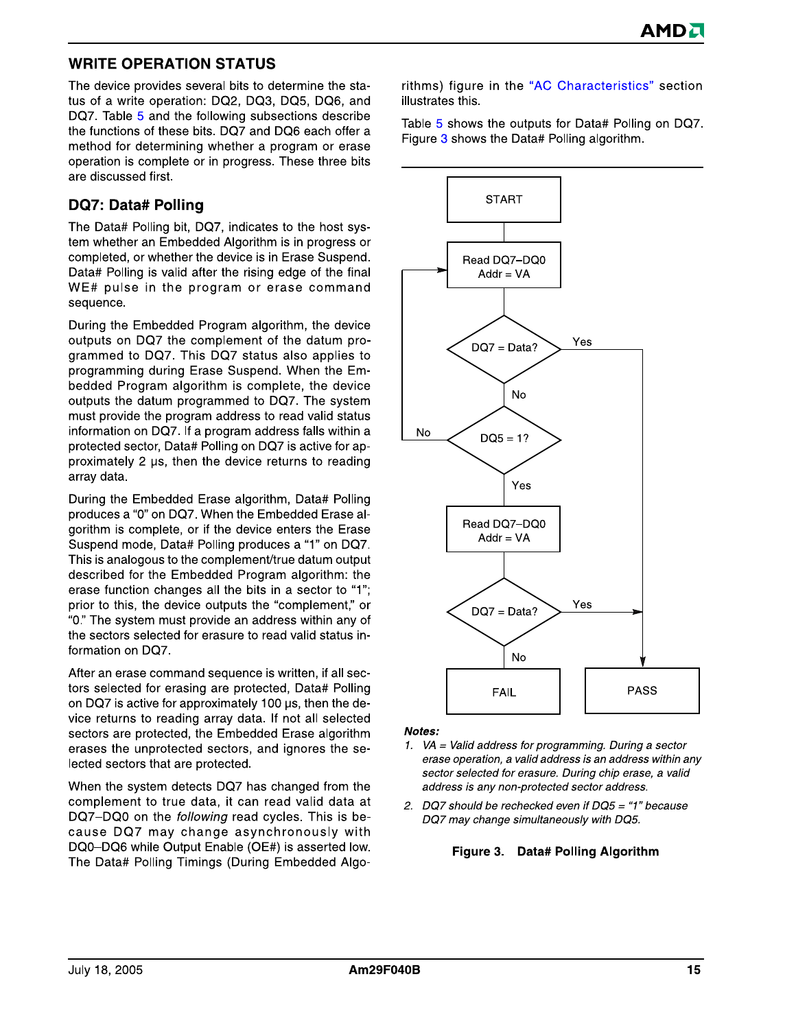#### **WRITE OPERATION STATUS**

The device provides several bits to determine the status of a write operation: DQ2, DQ3, DQ5, DQ6, and DQ7. Table 5 and the following subsections describe the functions of these bits. DQ7 and DQ6 each offer a method for determining whether a program or erase operation is complete or in progress. These three bits are discussed first.

#### **DQ7: Data# Polling**

The Data# Polling bit, DQ7, indicates to the host system whether an Embedded Algorithm is in progress or completed, or whether the device is in Erase Suspend. Data# Polling is valid after the rising edge of the final WE# pulse in the program or erase command sequence.

During the Embedded Program algorithm, the device outputs on DQ7 the complement of the datum programmed to DQ7. This DQ7 status also applies to programming during Erase Suspend. When the Embedded Program algorithm is complete, the device outputs the datum programmed to DQ7. The system must provide the program address to read valid status information on DQ7. If a program address falls within a protected sector, Data# Polling on DQ7 is active for approximately 2 us, then the device returns to reading array data.

During the Embedded Erase algorithm, Data# Polling produces a "0" on DQ7. When the Embedded Erase algorithm is complete, or if the device enters the Erase Suspend mode, Data# Polling produces a "1" on DQ7. This is analogous to the complement/true datum output described for the Embedded Program algorithm: the erase function changes all the bits in a sector to "1"; prior to this, the device outputs the "complement," or "0." The system must provide an address within any of the sectors selected for erasure to read valid status information on DQ7.

After an erase command sequence is written, if all sectors selected for erasing are protected, Data# Polling on DQ7 is active for approximately 100 us, then the device returns to reading array data. If not all selected sectors are protected, the Embedded Erase algorithm erases the unprotected sectors, and ignores the selected sectors that are protected.

When the system detects DQ7 has changed from the complement to true data, it can read valid data at DQ7-DQ0 on the *following* read cycles. This is because DQ7 may change asynchronously with DQ0-DQ6 while Output Enable (OE#) is asserted low. The Data# Polling Timings (During Embedded Algorithms) figure in the "AC Characteristics" section illustrates this.

Table 5 shows the outputs for Data# Polling on DQ7. Figure 3 shows the Data# Polling algorithm.



Notes:

- 1. VA = Valid address for programming. During a sector erase operation, a valid address is an address within any sector selected for erasure. During chip erase, a valid address is any non-protected sector address.
- 2. DQ7 should be rechecked even if DQ5 = "1" because DQ7 may change simultaneously with DQ5.

#### Figure 3. Data# Polling Algorithm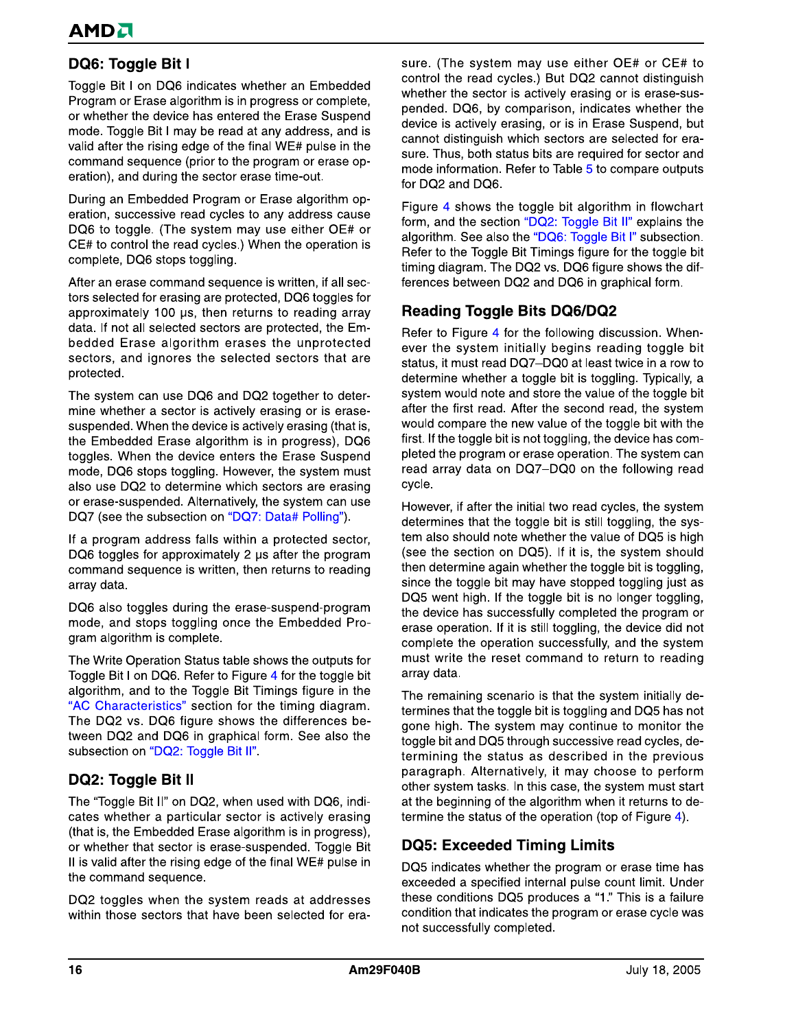# DQ6: Toggle Bit I

Toggle Bit I on DQ6 indicates whether an Embedded Program or Erase algorithm is in progress or complete, or whether the device has entered the Erase Suspend mode. Toggle Bit I may be read at any address, and is valid after the rising edge of the final WE# pulse in the command sequence (prior to the program or erase operation), and during the sector erase time-out.

During an Embedded Program or Erase algorithm operation, successive read cycles to any address cause DQ6 to toggle. (The system may use either OE# or CE# to control the read cycles.) When the operation is complete, DQ6 stops toggling.

After an erase command sequence is written, if all sectors selected for erasing are protected, DQ6 toggles for approximately 100 µs, then returns to reading array data. If not all selected sectors are protected, the Embedded Erase algorithm erases the unprotected sectors, and ignores the selected sectors that are protected.

The system can use DQ6 and DQ2 together to determine whether a sector is actively erasing or is erasesuspended. When the device is actively erasing (that is, the Embedded Erase algorithm is in progress), DQ6 toggles. When the device enters the Erase Suspend mode, DQ6 stops toggling. However, the system must also use DQ2 to determine which sectors are erasing or erase-suspended. Alternatively, the system can use DQ7 (see the subsection on "DQ7: Data# Polling").

If a program address falls within a protected sector, DQ6 toggles for approximately 2 us after the program command sequence is written, then returns to reading array data.

DQ6 also toggles during the erase-suspend-program mode, and stops toggling once the Embedded Program algorithm is complete.

The Write Operation Status table shows the outputs for Toggle Bit I on DQ6. Refer to Figure 4 for the toggle bit algorithm, and to the Toggle Bit Timings figure in the "AC Characteristics" section for the timing diagram. The DQ2 vs. DQ6 figure shows the differences between DQ2 and DQ6 in graphical form. See also the subsection on "DQ2: Toggle Bit II".

#### **DQ2: Toggle Bit II**

The "Toggle Bit II" on DQ2, when used with DQ6, indicates whether a particular sector is actively erasing (that is, the Embedded Erase algorithm is in progress), or whether that sector is erase-suspended. Toggle Bit II is valid after the rising edge of the final WE# pulse in the command sequence.

DQ2 toggles when the system reads at addresses within those sectors that have been selected for erasure. (The system may use either OE# or CE# to control the read cycles.) But DQ2 cannot distinguish whether the sector is actively erasing or is erase-suspended. DQ6, by comparison, indicates whether the device is actively erasing, or is in Erase Suspend, but cannot distinguish which sectors are selected for erasure. Thus, both status bits are required for sector and mode information. Refer to Table 5 to compare outputs for DQ2 and DQ6.

Figure 4 shows the toggle bit algorithm in flowchart form, and the section "DQ2: Toggle Bit II" explains the algorithm. See also the "DQ6: Toggle Bit I" subsection. Refer to the Toggle Bit Timings figure for the toggle bit timing diagram. The DQ2 vs. DQ6 figure shows the differences between DQ2 and DQ6 in graphical form.

#### **Reading Toggle Bits DQ6/DQ2**

Refer to Figure 4 for the following discussion. Whenever the system initially begins reading toggle bit status, it must read DQ7-DQ0 at least twice in a row to determine whether a toggle bit is toggling. Typically, a system would note and store the value of the toggle bit after the first read. After the second read, the system would compare the new value of the toggle bit with the first. If the toggle bit is not toggling, the device has completed the program or erase operation. The system can read array data on DQ7-DQ0 on the following read cycle.

However, if after the initial two read cycles, the system determines that the toggle bit is still toggling, the system also should note whether the value of DQ5 is high (see the section on DQ5). If it is, the system should then determine again whether the toggle bit is toggling, since the toggle bit may have stopped toggling just as DQ5 went high. If the toggle bit is no longer toggling, the device has successfully completed the program or erase operation. If it is still toggling, the device did not complete the operation successfully, and the system must write the reset command to return to reading array data.

The remaining scenario is that the system initially determines that the toggle bit is toggling and DQ5 has not gone high. The system may continue to monitor the toggle bit and DQ5 through successive read cycles, determining the status as described in the previous paragraph. Alternatively, it may choose to perform other system tasks. In this case, the system must start at the beginning of the algorithm when it returns to determine the status of the operation (top of Figure 4).

# **DQ5: Exceeded Timing Limits**

DQ5 indicates whether the program or erase time has exceeded a specified internal pulse count limit. Under these conditions DQ5 produces a "1." This is a failure condition that indicates the program or erase cycle was not successfully completed.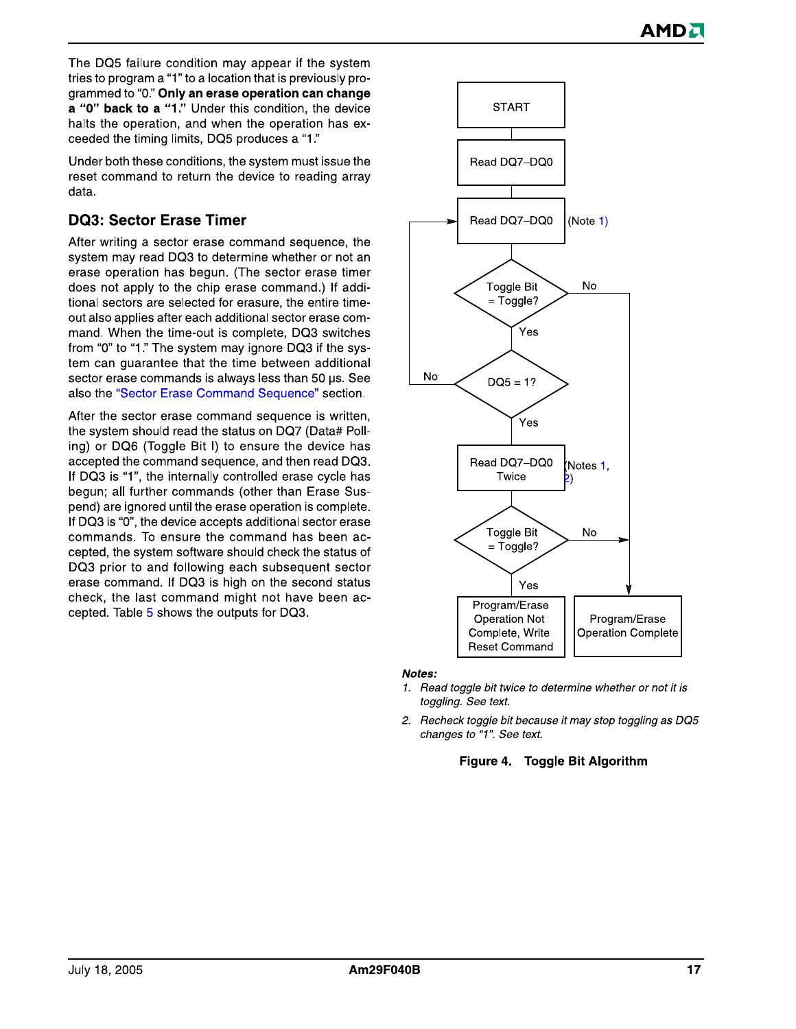The DQ5 failure condition may appear if the system tries to program a "1" to a location that is previously programmed to "0." Only an erase operation can change a "0" back to a "1." Under this condition, the device halts the operation, and when the operation has exceeded the timing limits, DQ5 produces a "1."

Under both these conditions, the system must issue the reset command to return the device to reading array data.

#### **DQ3: Sector Erase Timer**

After writing a sector erase command sequence, the system may read DQ3 to determine whether or not an erase operation has begun. (The sector erase timer does not apply to the chip erase command.) If additional sectors are selected for erasure, the entire timeout also applies after each additional sector erase command. When the time-out is complete. DQ3 switches from "0" to "1." The system may ignore DQ3 if the system can guarantee that the time between additional sector erase commands is always less than 50 us. See also the "Sector Erase Command Sequence" section.

After the sector erase command sequence is written, the system should read the status on DQ7 (Data# Polling) or DQ6 (Toggle Bit I) to ensure the device has accepted the command sequence, and then read DQ3. If DQ3 is "1", the internally controlled erase cycle has begun; all further commands (other than Erase Suspend) are ignored until the erase operation is complete. If DQ3 is "0", the device accepts additional sector erase commands. To ensure the command has been accepted, the system software should check the status of DQ3 prior to and following each subsequent sector erase command. If DQ3 is high on the second status check, the last command might not have been accepted. Table 5 shows the outputs for DQ3.



- 1. Read toggle bit twice to determine whether or not it is toggling. See text.
- 2. Recheck toggle bit because it may stop toggling as DQ5 changes to "1". See text.

#### Figure 4. Toggle Bit Algorithm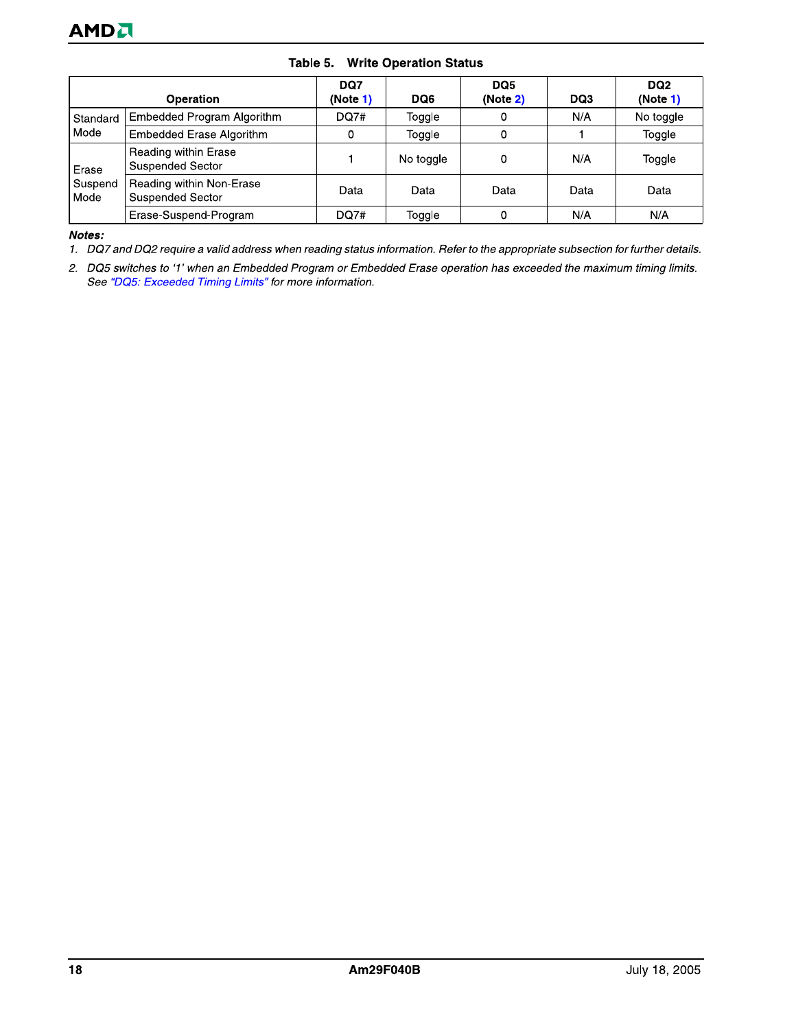| <b>AMD</b> U    |                                                     |                 |                               |                 |      |                             |
|-----------------|-----------------------------------------------------|-----------------|-------------------------------|-----------------|------|-----------------------------|
|                 | Table 5.                                            |                 | <b>Write Operation Status</b> |                 |      |                             |
|                 | Operation                                           | DQ7<br>(Note 1) | DQ6                           | DQ5<br>(Note 2) | DQ3  | DQ <sub>2</sub><br>(Note 1) |
| Standard        | Embedded Program Algorithm                          | <b>DQ7#</b>     | Toggle                        | 0               | N/A  | No toggle                   |
| Mode            | Embedded Erase Algorithm                            | 0               | Toggle                        | 0               |      | Toggle                      |
| Erase           | Reading within Erase<br><b>Suspended Sector</b>     |                 | No toggle                     | 0               | N/A  | Toggle                      |
| Suspend<br>Mode | Reading within Non-Erase<br><b>Suspended Sector</b> | Data            | Data                          | Data            | Data | Data                        |
|                 | Erase-Suspend-Program                               | <b>DQ7#</b>     | Toggle                        | 0               | N/A  | N/A                         |

Notes:

1. DQ7 and DQ2 require a valid address when reading status information. Refer to the appropriate subsection for further details.

2. DQ5 switches to '1' when an Embedded Program or Embedded Erase operation has exceeded the maximum timing limits. See "DQ5: Exceeded Timing Limits" for more information.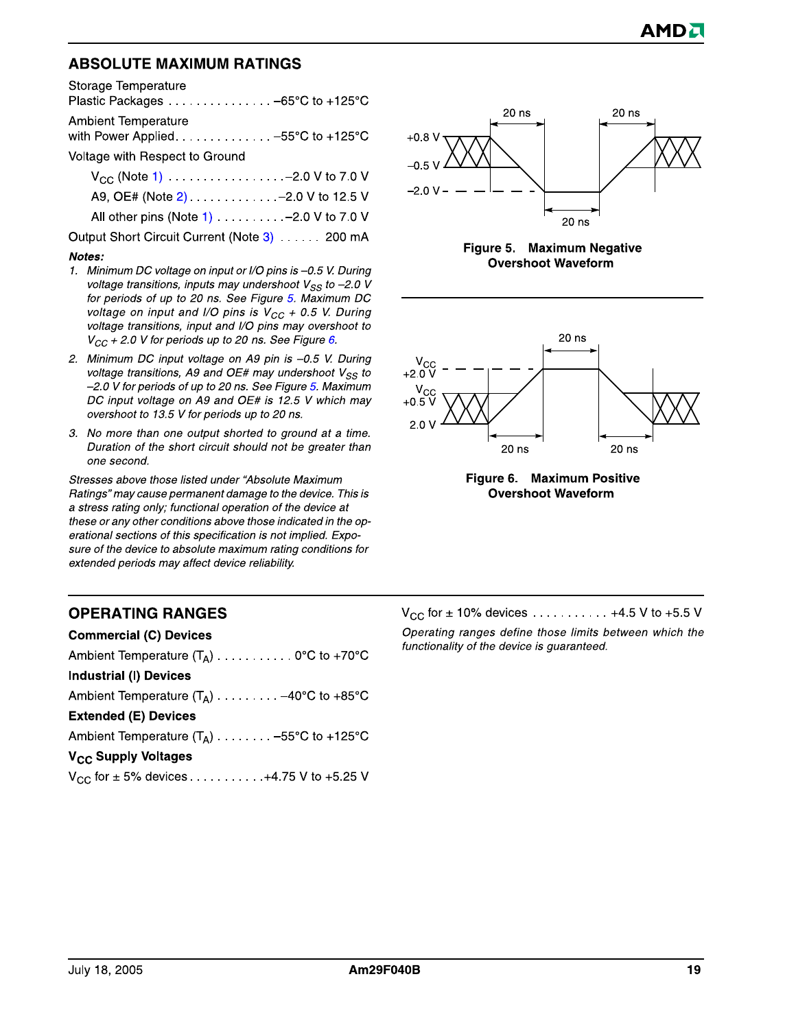#### **ABSOLUTE MAXIMUM RATINGS**

Storage Temperature

| Ambient Temperature                |
|------------------------------------|
| with Power Applied -55°C to +125°C |
| Voltage with Respect to Ground     |

| $V_{CC}$ (Note 1) $\dots \dots \dots \dots \dots \dots -2.0$ V to 7.0 V |  |
|-------------------------------------------------------------------------|--|
| A9, OE# (Note 2). -2.0 V to 12.5 V                                      |  |
| All other pins (Note 1) - 2.0 V to 7.0 V                                |  |

Output Short Circuit Current (Note 3) . . . . . . 200 mA

#### Notes:

- 1. Minimum DC voltage on input or I/O pins is -0.5 V. During voltage transitions, inputs may undershoot  $V_{SS}$  to -2.0 V for periods of up to 20 ns. See Figure 5. Maximum DC voltage on input and I/O pins is  $V_{CC}$  + 0.5 V. During voltage transitions, input and I/O pins may overshoot to  $V_{CC}$  + 2.0 V for periods up to 20 ns. See Figure 6.
- 2. Minimum DC input voltage on A9 pin is -0.5 V. During voltage transitions, A9 and OE# may undershoot  $V_{SS}$  to -2.0 V for periods of up to 20 ns. See Figure 5. Maximum DC input voltage on A9 and OE# is 12.5 V which may overshoot to 13.5 V for periods up to 20 ns.
- 3. No more than one output shorted to ground at a time. Duration of the short circuit should not be greater than one second.

Stresses above those listed under "Absolute Maximum Ratings" may cause permanent damage to the device. This is a stress rating only; functional operation of the device at these or any other conditions above those indicated in the operational sections of this specification is not implied. Exposure of the device to absolute maximum rating conditions for extended periods may affect device reliability.

# 20 ns  $20$  ns  $+0.8 V$  $-0.5V$  $-2.0 V 20$  ns

Figure 5. Maximum Negative **Overshoot Waveform** 





#### **OPERATING RANGES**

| <b>Commercial (C) Devices</b>                   |
|-------------------------------------------------|
| Ambient Temperature $(T_A)$ 0°C to +70°C        |
| <b>Industrial (I) Devices</b>                   |
| Ambient Temperature $(T_A)$ -40°C to +85°C      |
| <b>Extended (E) Devices</b>                     |
| Ambient Temperature $(T_A)$ -55°C to +125°C     |
| V <sub>CC</sub> Supply Voltages                 |
| $V_{CC}$ for $\pm$ 5% devices 4.75 V to +5.25 V |

 $V_{CC}$  for  $\pm$  10% devices ........... +4.5 V to +5.5 V

Operating ranges define those limits between which the functionality of the device is guaranteed.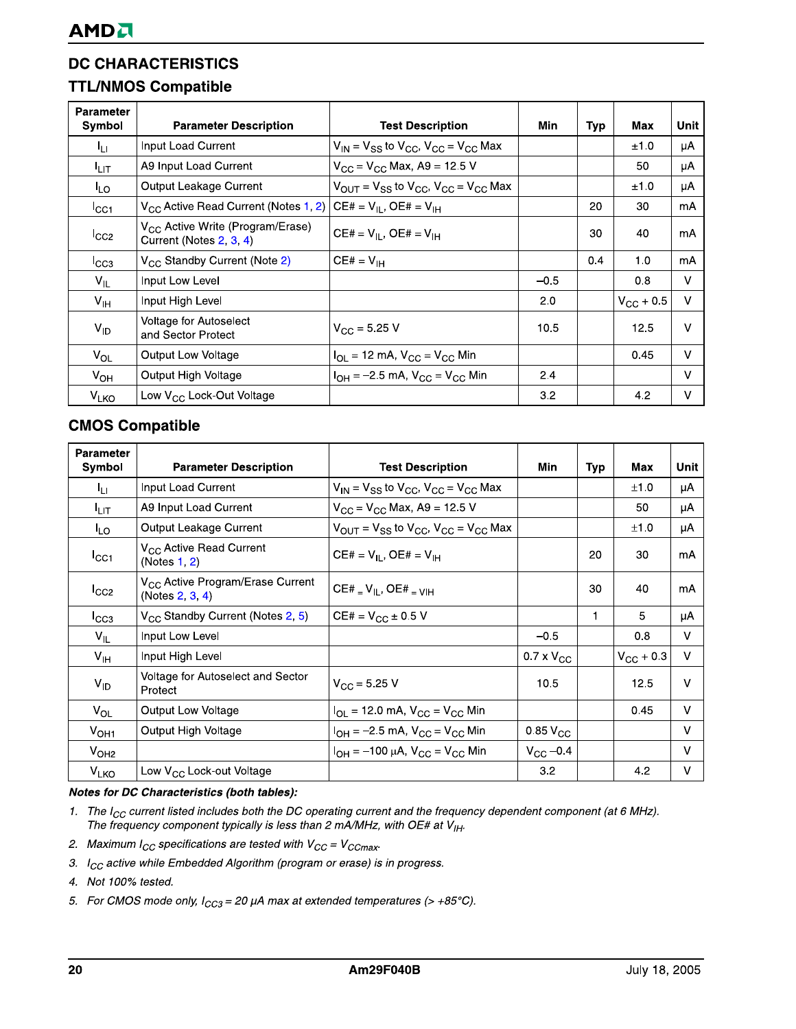# **TTL/NMOS Compatible**

| <b>Parameter</b><br>Symbol | <b>Parameter Description</b>                                            | <b>Test Description</b>                                                                   | Min    | Typ | Max                | Unit   |
|----------------------------|-------------------------------------------------------------------------|-------------------------------------------------------------------------------------------|--------|-----|--------------------|--------|
| łц                         | Input Load Current                                                      | $V_{IN}$ = $V_{SS}$ to $V_{CC}$ , $V_{CC}$ = $V_{CC}$ Max                                 |        |     | ±1.0               | μA     |
| I <sub>LIТ</sub>           | A9 Input Load Current                                                   | $V_{CC}$ = $V_{CC}$ Max, A9 = 12.5 V                                                      |        |     | 50                 | μA     |
| <sup>I</sup> LO            | Output Leakage Current                                                  | $V_{\text{OUT}} = V_{\text{SS}}$ to $V_{\text{CC}}$ , $V_{\text{CC}} = V_{\text{CC}}$ Max |        |     | ±1.0               | μA     |
| ICC1                       | V <sub>CC</sub> Active Read Current (Notes 1, 2)                        | $CE# = V_{II}$ , OE# = $V_{IH}$                                                           |        | 20  | 30                 | mA     |
| ICC2                       | V <sub>CC</sub> Active Write (Program/Erase)<br>Current (Notes 2, 3, 4) | $CE# = V_{II}$ , $OE# = V_{IH}$                                                           |        | 30  | 40                 | mA     |
| ICC3                       | V <sub>CC</sub> Standby Current (Note 2)                                | $CE# = V_{IH}$                                                                            |        | 0.4 | 1.0                | mA     |
| $V_{IL}$                   | Input Low Level                                                         |                                                                                           | $-0.5$ |     | 0.8                | V      |
| $V_{\text{IH}}$            | Input High Level                                                        |                                                                                           | 2.0    |     | $V_{\rm CC}$ + 0.5 | V      |
| $V_{ID}$                   | Voltage for Autoselect<br>and Sector Protect                            | $V_{CC}$ = 5.25 V                                                                         | 10.5   |     | 12.5               | $\vee$ |
| $V_{OL}$                   | Output Low Voltage                                                      | $I_{OL}$ = 12 mA, $V_{CC}$ = $V_{CC}$ Min                                                 |        |     | 0.45               | $\vee$ |
| $V_{OH}$                   | Output High Voltage                                                     | $I_{OH} = -2.5$ mA, $V_{CC} = V_{CC}$ Min                                                 | 2.4    |     |                    | $\vee$ |
| V <sub>LKO</sub>           | Low $V_{CC}$ Lock-Out Voltage                                           |                                                                                           | 3.2    |     | 4.2                | V      |

# **CMOS Compatible**

| <b>Parameter</b><br>Symbol | <b>Parameter Description</b>                                       | <b>Test Description</b>                                                                   | Min                 | Typ | Max                | Unit   |
|----------------------------|--------------------------------------------------------------------|-------------------------------------------------------------------------------------------|---------------------|-----|--------------------|--------|
| Կա                         | Input Load Current                                                 | $V_{IN}$ = $V_{SS}$ to $V_{CC}$ , $V_{CC}$ = $V_{CC}$ Max                                 |                     |     | ±1.0               | μA     |
| <sup>I</sup> LIT           | A9 Input Load Current                                              | $V_{CC} = V_{CC}$ Max, A9 = 12.5 V                                                        |                     |     | 50                 | μA     |
| <sup>I</sup> LO            | Output Leakage Current                                             | $V_{\text{OUT}} = V_{\text{SS}}$ to $V_{\text{CC}}$ , $V_{\text{CC}} = V_{\text{CC}}$ Max |                     |     | ±1.0               | μA     |
| ICC1                       | V <sub>CC</sub> Active Read Current<br>(Notes 1, 2)                | $CE# = V_{IL}$ , $OE# = V_{IH}$                                                           |                     | 20  | 30                 | mA     |
| ICC2                       | V <sub>CC</sub> Active Program/Erase Current<br>(Notes $2, 3, 4$ ) | $CE#$ = $V_{IL}$ , $OE#$ = $V_{IH}$                                                       |                     | 30  | 40                 | mA     |
| ICC3                       | V <sub>CC</sub> Standby Current (Notes 2, 5)                       | $CE# = V_{CC} \pm 0.5 V$                                                                  |                     | 1   | 5                  | μA     |
| $V_{\parallel}$            | Input Low Level                                                    |                                                                                           | $-0.5$              |     | 0.8                | v      |
| $V_{\text{IH}}$            | Input High Level                                                   |                                                                                           | $0.7 \times V_{CC}$ |     | $V_{\rm CC}$ + 0.3 | V      |
| $V_{ID}$                   | Voltage for Autoselect and Sector<br>Protect                       | $V_{\rm CC}$ = 5.25 V                                                                     | 10.5                |     | 12.5               | v      |
| $V_{OL}$                   | Output Low Voltage                                                 | $I_{OL}$ = 12.0 mA, $V_{CC}$ = $V_{CC}$ Min                                               |                     |     | 0.45               | v      |
| V <sub>OH1</sub>           | Output High Voltage                                                | $I_{OH} = -2.5$ mA, $V_{CC} = V_{CC}$ Min                                                 | $0.85\,V_{CC}$      |     |                    | $\vee$ |
| V <sub>OH2</sub>           |                                                                    | $I_{OH} = -100 \mu A$ , $V_{CC} = V_{CC}$ Min                                             | $V_{\rm CC}$ –0.4   |     |                    | v      |
| V <sub>LKO</sub>           | Low V <sub>CC</sub> Lock-out Voltage                               |                                                                                           | 3.2                 |     | 4.2                | v      |

#### Notes for DC Characteristics (both tables):

- 1. The  $I_{CC}$  current listed includes both the DC operating current and the frequency dependent component (at 6 MHz). The frequency component typically is less than 2 mA/MHz, with OE# at  $V_{I\!H}$ .
- 2. Maximum  $I_{CC}$  specifications are tested with  $V_{CC} = V_{CCmax}$ .
- 3.  $I_{CC}$  active while Embedded Algorithm (program or erase) is in progress.
- 4. Not 100% tested.
- 5. For CMOS mode only,  $I_{CC3} = 20 \mu A$  max at extended temperatures (> +85°C).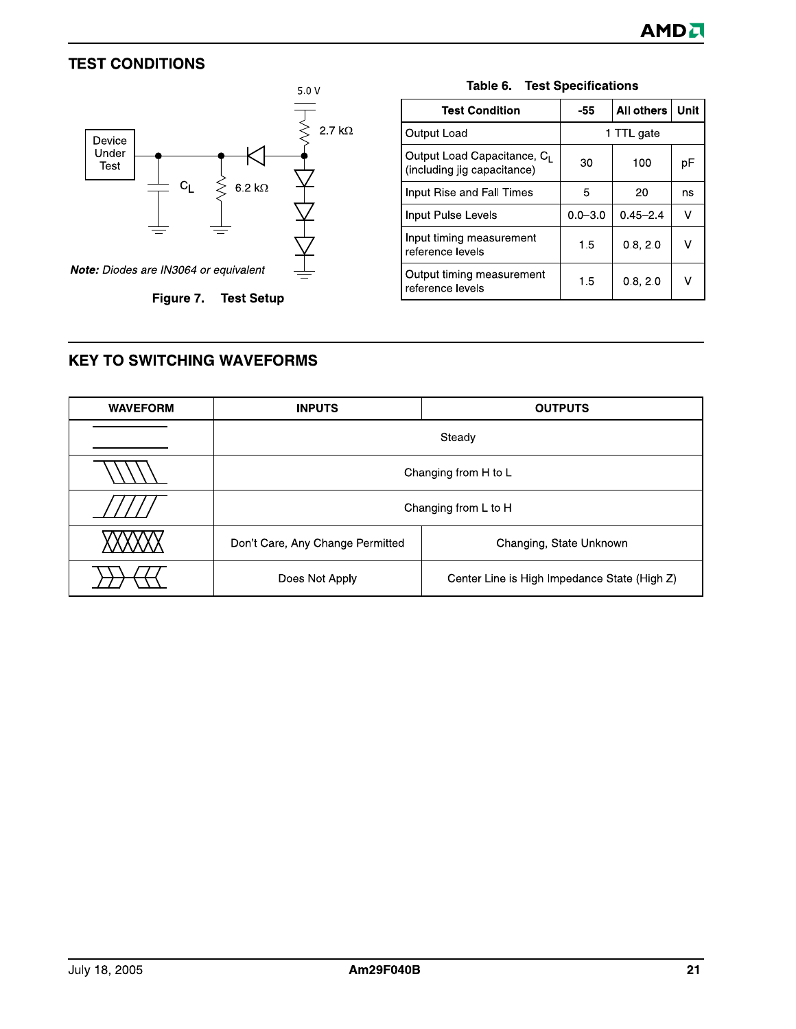# **TEST CONDITIONS**



Figure 7. Test Setup

| <b>Test Condition</b>                                                  | -55         | <b>All others</b> | Unit |  |  |  |
|------------------------------------------------------------------------|-------------|-------------------|------|--|--|--|
| Output Load                                                            | 1 TTL gate  |                   |      |  |  |  |
| Output Load Capacitance, C <sub>1</sub><br>(including jig capacitance) | 30          | 100               | рF   |  |  |  |
| Input Rise and Fall Times                                              | 5           | 20                | ns   |  |  |  |
| Input Pulse Levels                                                     | $0.0 - 3.0$ | $0.45 - 2.4$      | v    |  |  |  |
| Input timing measurement<br>reference levels                           | 1.5         | 0.8, 2.0          | V    |  |  |  |
| Output timing measurement<br>reference levels                          | 1.5         | 0.8, 2.0          |      |  |  |  |

#### Table 6. Test Specifications

# **KEY TO SWITCHING WAVEFORMS**

| <b>WAVEFORM</b> | <b>INPUTS</b>                    | <b>OUTPUTS</b>                               |  |  |  |  |  |  |
|-----------------|----------------------------------|----------------------------------------------|--|--|--|--|--|--|
|                 | Steady                           |                                              |  |  |  |  |  |  |
|                 |                                  | Changing from H to L                         |  |  |  |  |  |  |
|                 |                                  | Changing from L to H                         |  |  |  |  |  |  |
|                 | Don't Care, Any Change Permitted | Changing, State Unknown                      |  |  |  |  |  |  |
|                 | Does Not Apply                   | Center Line is High Impedance State (High Z) |  |  |  |  |  |  |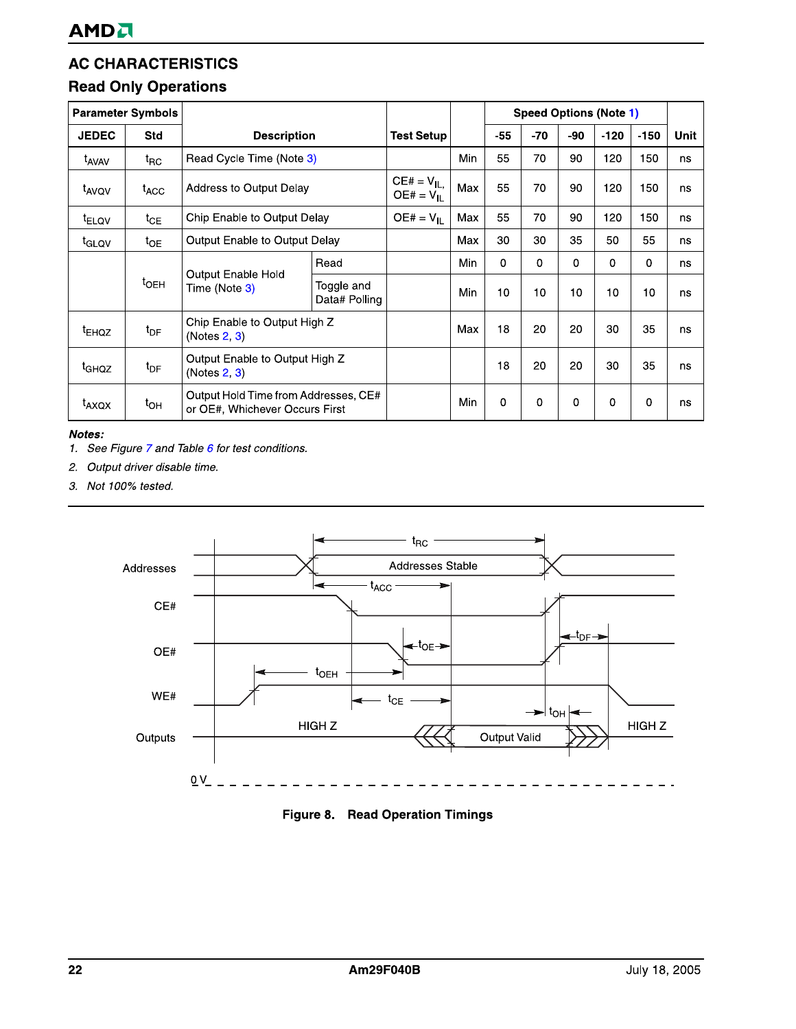| <b>AMD</b> <sup></sup>      |                          |                                                                        |                              |                                  |     |          |          |             |                               |        |             |
|-----------------------------|--------------------------|------------------------------------------------------------------------|------------------------------|----------------------------------|-----|----------|----------|-------------|-------------------------------|--------|-------------|
| <b>Read Only Operations</b> |                          | <b>AC CHARACTERISTICS</b>                                              |                              |                                  |     |          |          |             |                               |        |             |
|                             | <b>Parameter Symbols</b> |                                                                        |                              |                                  |     |          |          |             | <b>Speed Options (Note 1)</b> |        |             |
| <b>JEDEC</b>                | Std                      | <b>Description</b>                                                     |                              | <b>Test Setup</b>                |     | $-55$    | $-70$    | -90         | $-120$                        | $-150$ | <b>Unit</b> |
| t <sub>AVAV</sub>           | $t_{\mathsf{RC}}$        | Read Cycle Time (Note 3)                                               |                              |                                  | Min | 55       | 70       | 90          | 120                           | 150    | ns          |
| t <sub>AVQV</sub>           | $t_{\text{ACC}}$         | Address to Output Delay                                                |                              | $CE# = V_{IL}$<br>$OE# = V_{IL}$ | Max | 55       | 70       | 90          | 120                           | 150    | ns          |
| <sup>t</sup> ELOV           | $t_{CE}$                 | Chip Enable to Output Delay                                            |                              | $OE# = VH$                       | Max | 55       | 70       | 90          | 120                           | 150    | ns          |
| <sup>t</sup> GLQV           | $t_{OE}$                 | Output Enable to Output Delay                                          |                              |                                  | Max | 30       | 30       | 35          | 50                            | 55     | ns          |
|                             |                          |                                                                        | Read                         |                                  | Min | $\Omega$ | $\Omega$ | $\mathbf 0$ | $\mathbf 0$                   | 0      | ns          |
|                             | $t_{\text{OEH}}$         | Output Enable Hold<br>Time (Note 3)                                    | Toggle and<br>Data# Polling  |                                  | Min | 10       | 10       | 10          | 10                            | 10     | ns          |
| <sup>t</sup> EHQZ           | $t_{DF}$                 | (Notes 2, 3)                                                           | Chip Enable to Output High Z |                                  | Max | 18       | 20       | 20          | 30                            | 35     | ns          |
| t <sub>GHQZ</sub>           | $t_{DF}$                 | Output Enable to Output High Z<br>(Notes 2, 3)                         |                              |                                  |     | 18       | 20       | 20          | 30                            | 35     | ns          |
| $t_{AXQX}$                  | $t_{OH}$                 | Output Hold Time from Addresses, CE#<br>or OE#, Whichever Occurs First |                              |                                  | Min | 0        | 0        | $\mathbf 0$ | $\mathbf 0$                   | 0      | ns          |

#### Notes:

- 1. See Figure 7 and Table  $6$  for test conditions.
- 2. Output driver disable time.
- 3. Not 100% tested.



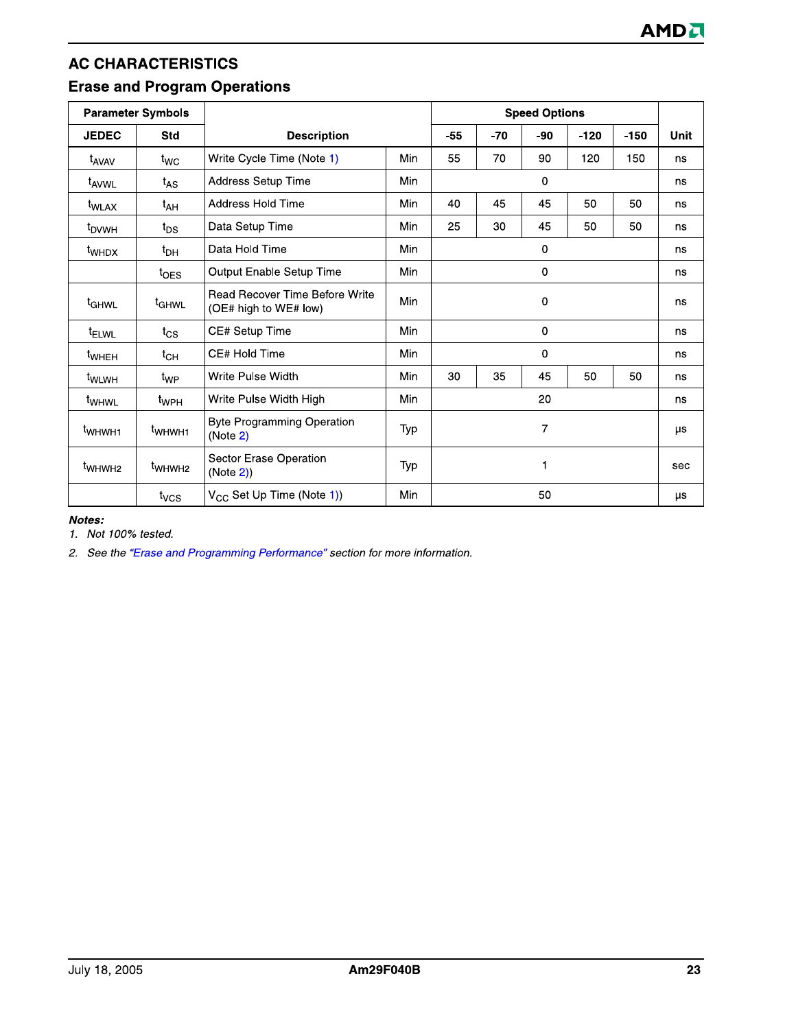# **AC CHARACTERISTICS Erase and Program Operations**

| <b>Parameter Symbols</b>     |                    |                                                                |     | <b>Speed Options</b> |     |             |        |        |             |
|------------------------------|--------------------|----------------------------------------------------------------|-----|----------------------|-----|-------------|--------|--------|-------------|
| <b>JEDEC</b>                 | Std                | <b>Description</b>                                             |     |                      | -70 | -90         | $-120$ | $-150$ | <b>Unit</b> |
| <sup>t</sup> AVAV            | $t_{WC}$           | Write Cycle Time (Note 1)                                      | Min | 55                   | 70  | 90          | 120    | 150    | ns          |
| t <sub>AVWL</sub>            | $t_{AS}$           | Address Setup Time                                             | Min |                      |     | $\mathbf 0$ |        |        | ns          |
| t <sub>WLAX</sub>            | $t_{AH}$           | Address Hold Time                                              | Min | 40                   | 45  | 45          | 50     | 50     | ns          |
| <sup>t</sup> <sub>DVWH</sub> | $t_{DS}$           | Data Setup Time                                                | Min | 25                   | 30  | 45          | 50     | 50     | ns          |
| <sup>t</sup> whd x           | $t_{DH}$           | Data Hold Time                                                 | Min | $\mathbf 0$          |     |             | ns     |        |             |
|                              | $t_{\text{OES}}$   | Output Enable Setup Time                                       | Min | $\mathbf 0$          |     |             |        |        | ns          |
| t <sub>GHWL</sub>            | <sup>t</sup> GHWL  | <b>Read Recover Time Before Write</b><br>(OE# high to WE# low) | Min | 0                    |     |             |        | ns     |             |
| <sup>t</sup> ELWL            | $t_{\text{CS}}$    | CE# Setup Time                                                 | Min | 0                    |     |             | ns     |        |             |
| <sup>t</sup> wheh            | $t_{CH}$           | CE# Hold Time                                                  | Min |                      |     | $\mathbf 0$ |        |        | ns.         |
| <sup>t</sup> wlwH            | $t_{WP}$           | Write Pulse Width                                              | Min | 30                   | 35  | 45          | 50     | 50     | ns          |
| t <sub>WHWL</sub>            | $t_{WPH}$          | Write Pulse Width High                                         | Min | 20                   |     |             | ns     |        |             |
| t <sub>WHWH1</sub>           | t <sub>WHWH1</sub> | <b>Byte Programming Operation</b><br>(Note 2)                  | Typ | $\overline{7}$       |     |             |        | μs     |             |
| t <sub>WHWH2</sub>           | t <sub>WHWH2</sub> | Sector Erase Operation<br>(Note 2)                             | Typ | 1                    |     |             |        | sec    |             |
|                              | $t_{VCS}$          | $V_{CC}$ Set Up Time (Note 1))                                 | Min |                      |     | 50          |        |        | μs          |

#### Notes:

1. Not 100% tested.

2. See the "Erase and Programming Performance" section for more information.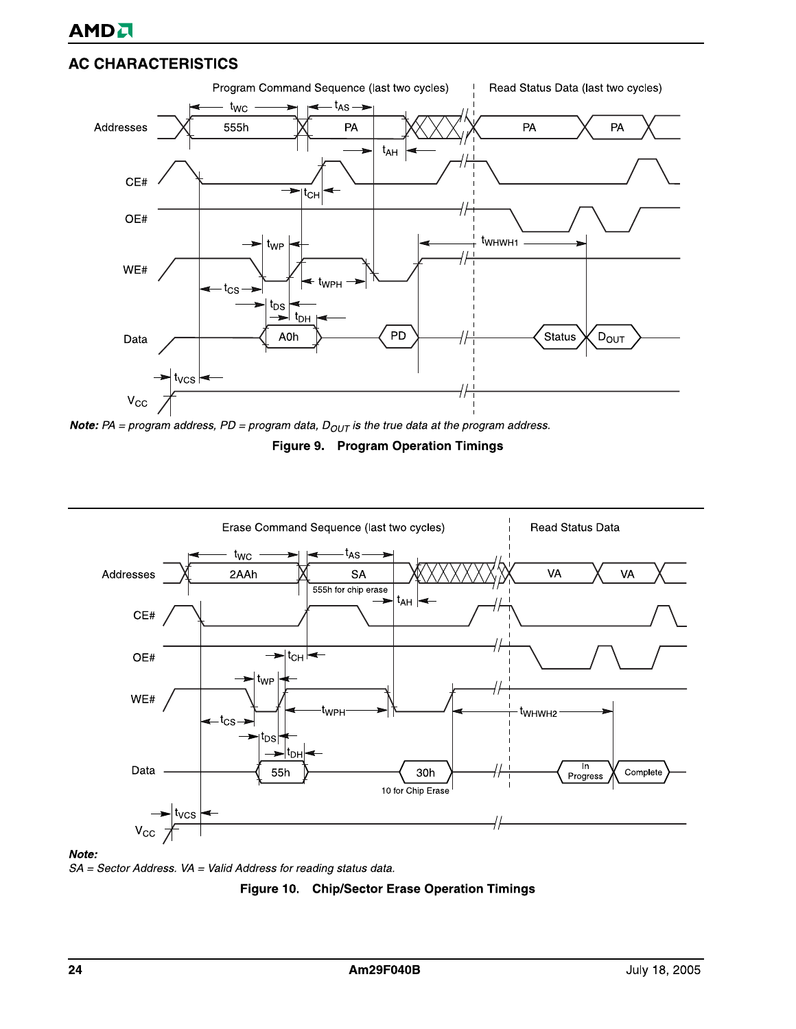







Note:

SA = Sector Address. VA = Valid Address for reading status data.

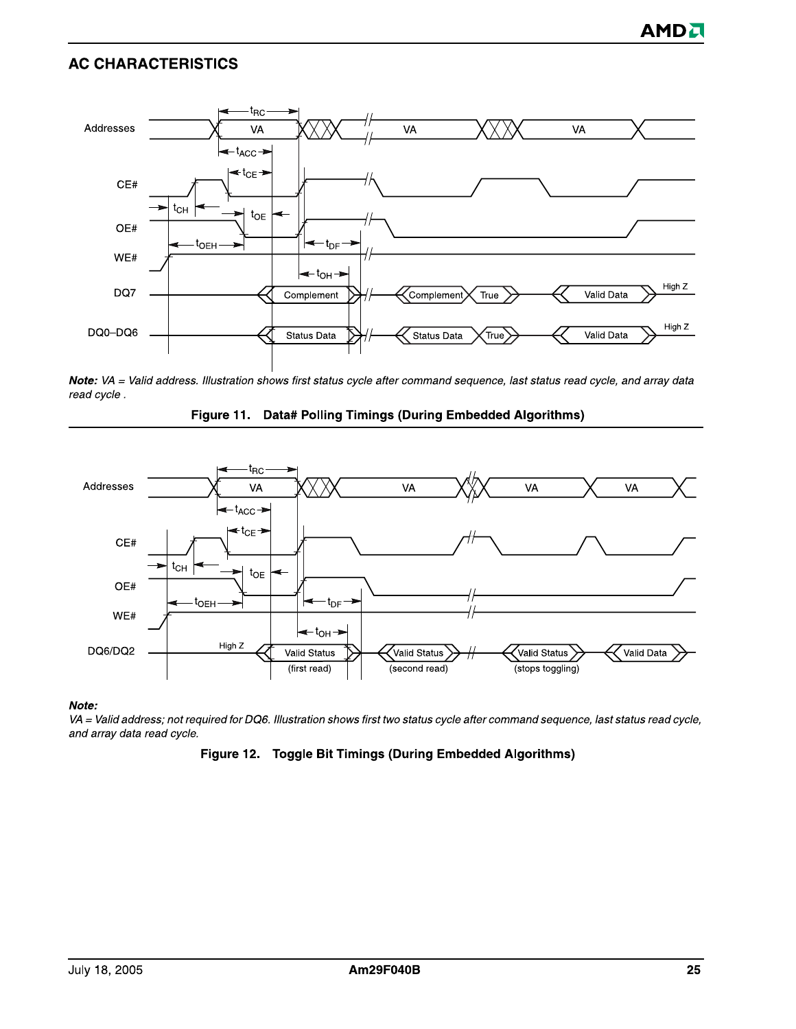

Note: VA = Valid address. Illustration shows first status cycle after command sequence, last status read cycle, and array data read cycle.





#### Note:

VA = Valid address; not required for DQ6. Illustration shows first two status cycle after command sequence, last status read cycle, and array data read cycle.

#### Figure 12. Toggle Bit Timings (During Embedded Algorithms)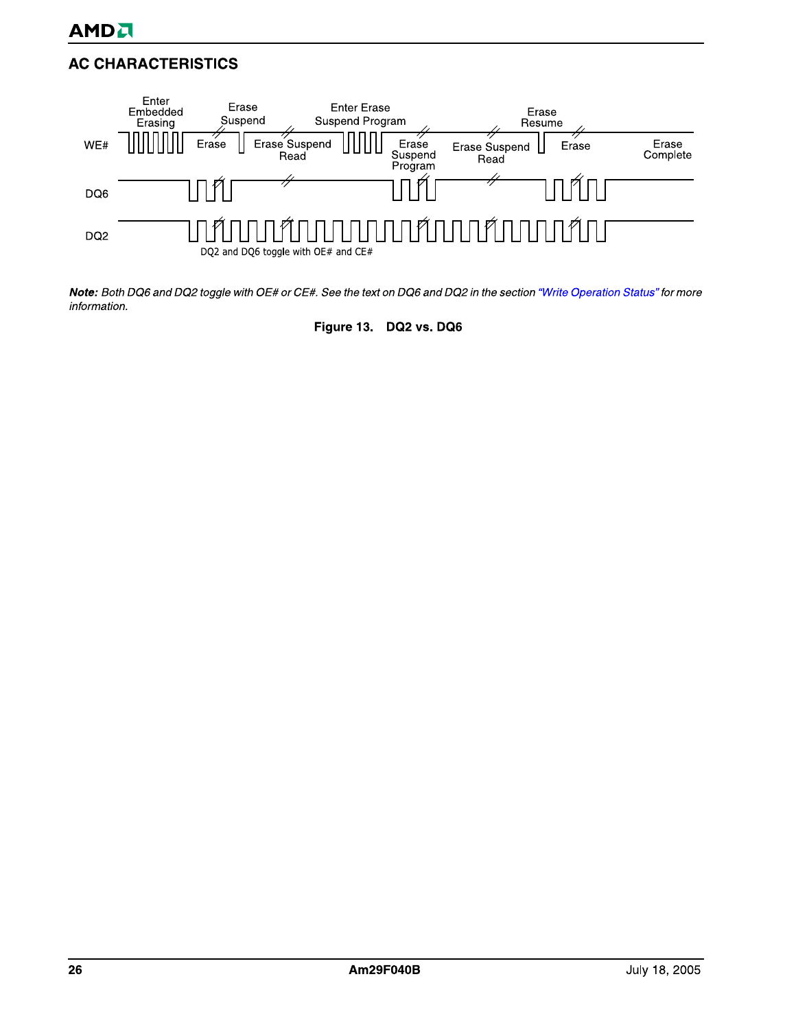

Note: Both DQ6 and DQ2 toggle with OE# or CE#. See the text on DQ6 and DQ2 in the section "Write Operation Status" for more information.

Figure 13. DQ2 vs. DQ6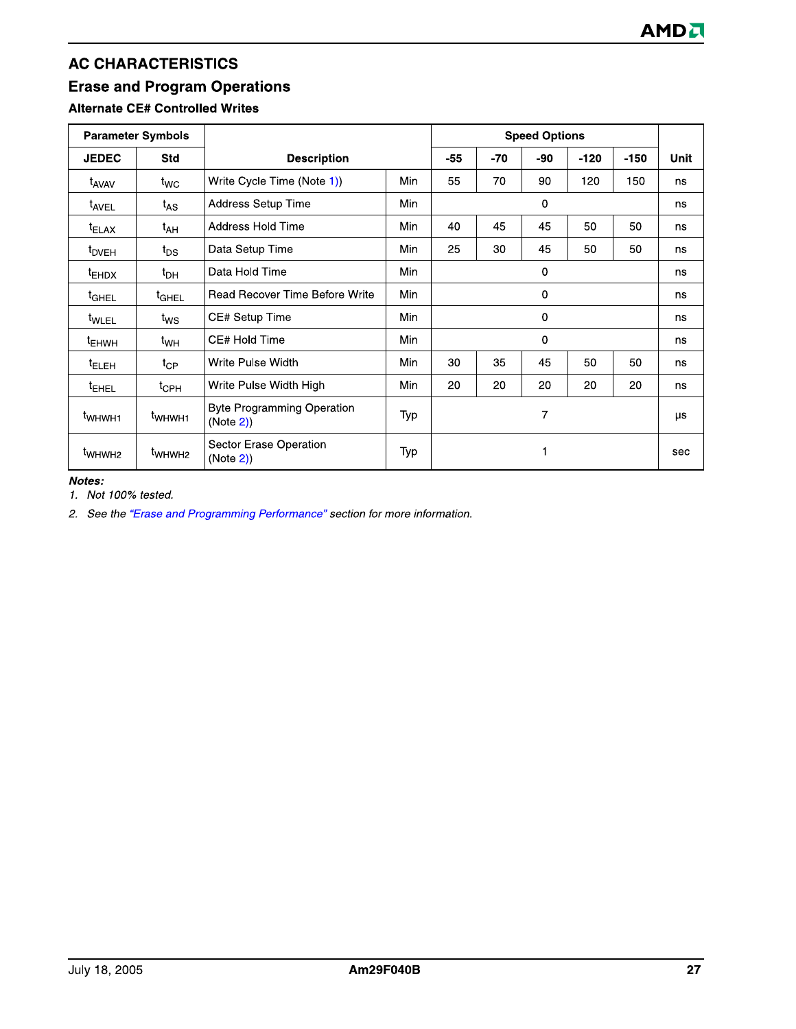# **Erase and Program Operations**

# **Alternate CE# Controlled Writes**

| <b>Parameter Symbols</b> |                                |                                               |            |                            |       | <b>Speed Options</b> |        |        |      |
|--------------------------|--------------------------------|-----------------------------------------------|------------|----------------------------|-------|----------------------|--------|--------|------|
| <b>JEDEC</b>             | <b>Std</b>                     | <b>Description</b>                            |            | $-55$                      | $-70$ | -90                  | $-120$ | $-150$ | Unit |
| t <sub>AVAV</sub>        | $t_{WC}$                       | Write Cycle Time (Note 1))                    | Min        | 55                         | 70    | 90                   | 120    | 150    | ns   |
| <sup>t</sup> AVEL        | $t_{AS}$                       | Address Setup Time                            | <b>Min</b> |                            |       | $\mathbf 0$          |        |        | ns   |
| <sup>t</sup> ELAX        | $t_{AH}$                       | Address Hold Time                             | Min        | 40                         | 45    | 45                   | 50     | 50     | ns   |
| <sup>t</sup> DVEH        | $t_{DS}$                       | Data Setup Time                               | Min        | 25                         | 30    | 45                   | 50     | 50     | ns   |
| <sup>t</sup> EHDX        | $t_{\text{DH}}$                | Data Hold Time                                | Min        | $\mathbf{0}$               |       |                      |        |        | ns   |
| <sup>t</sup> GHEL        | t <sub>GHEL</sub>              | Read Recover Time Before Write                | Min        | 0                          |       |                      |        | ns     |      |
| <sup>t</sup> WLEL        | $t_{\text{WS}}$                | CE# Setup Time                                | Min        | $\mathbf{0}$               |       |                      |        | ns     |      |
| <sup>t</sup> EHWH        | t <sub>WH</sub>                | CE# Hold Time                                 | Min        |                            |       | $\mathbf 0$          |        |        | ns   |
| <sup>t</sup> ELEH        | $t_{CP}$                       | Write Pulse Width                             | Min        | 30                         | 35    | 45                   | 50     | 50     | ns   |
| <sup>t</sup> EHEL        | $t_{\mathsf{CPH}}$             | Write Pulse Width High                        | Min        | 20<br>20<br>20<br>20<br>20 |       |                      |        | ns     |      |
| t <sub>WHWH1</sub>       | <sup>t</sup> WHWH <sub>1</sub> | <b>Byte Programming Operation</b><br>(Note 2) | Typ        | 7                          |       |                      |        | μs     |      |
| t <sub>WHWH2</sub>       | t <sub>WHWH2</sub>             | Sector Erase Operation<br>(Note 2)            | Typ        |                            |       |                      |        |        | sec  |

Notes:

1. Not 100% tested.

2. See the "Erase and Programming Performance" section for more information.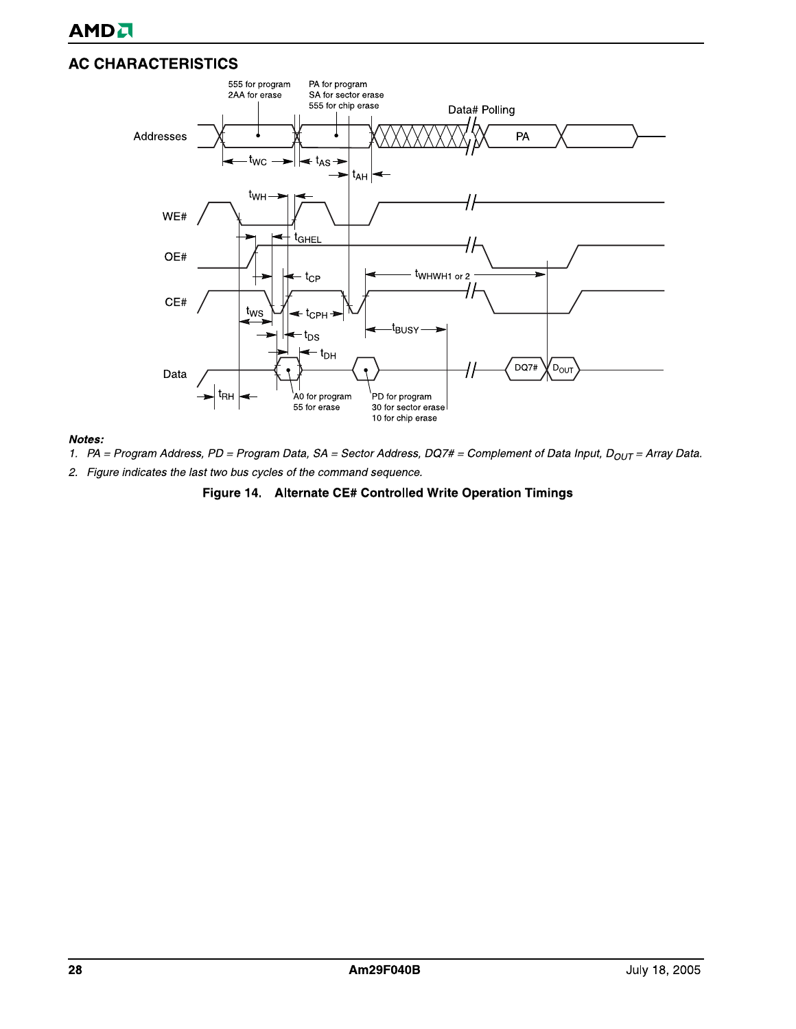

#### Notes:

- 1. PA = Program Address, PD = Program Data, SA = Sector Address, DQ7# = Complement of Data Input, D<sub>OUT</sub> = Array Data.
- 2. Figure indicates the last two bus cycles of the command sequence.

#### Figure 14. Alternate CE# Controlled Write Operation Timings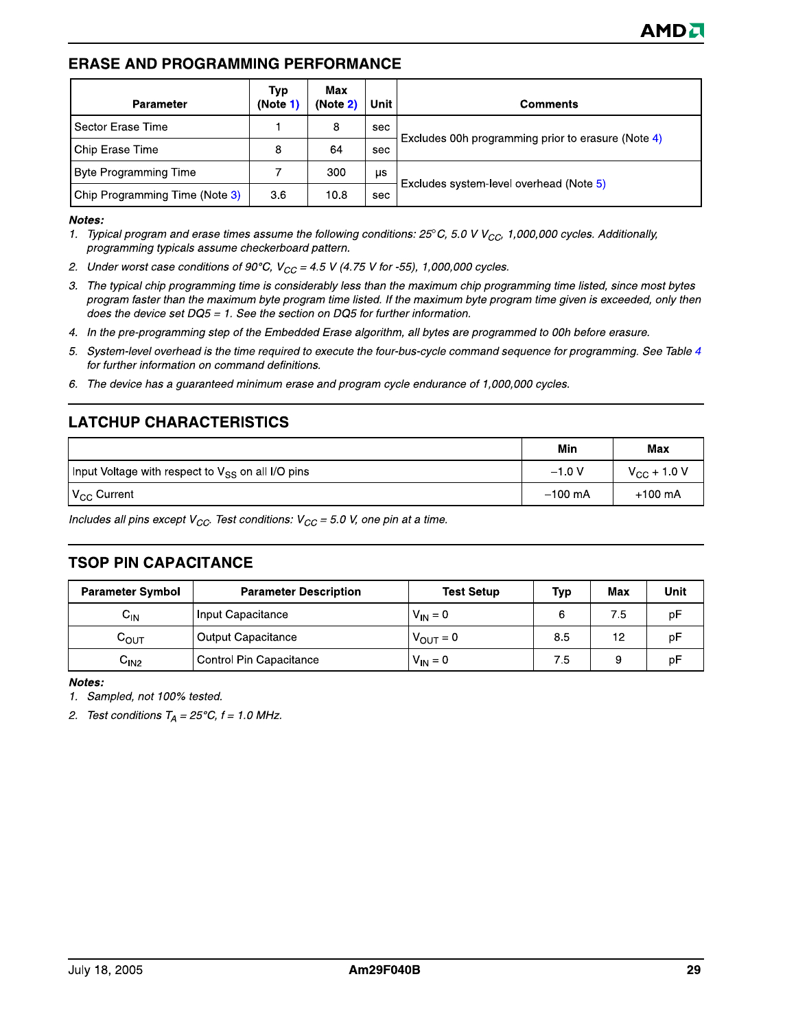#### **ERASE AND PROGRAMMING PERFORMANCE**

| <b>Parameter</b>               | Typ<br>(Note 1) | Max<br>(Note 2) | Unit | <b>Comments</b>                                    |
|--------------------------------|-----------------|-----------------|------|----------------------------------------------------|
| Sector Erase Time              |                 | 8               | sec  |                                                    |
| Chip Erase Time                | 8               | 64              | sec  | Excludes 00h programming prior to erasure (Note 4) |
| <b>Byte Programming Time</b>   |                 | 300             | μs   |                                                    |
| Chip Programming Time (Note 3) | 3.6             | 10.8            | sec  | Excludes system-level overhead (Note 5)            |

#### Notes:

- 1. Typical program and erase times assume the following conditions: 25°C, 5.0 V V<sub>CC</sub>, 1,000,000 cycles. Additionally, programming typicals assume checkerboard pattern.
- 2. Under worst case conditions of 90°C,  $V_{CC}$  = 4.5 V (4.75 V for -55), 1,000,000 cycles.
- 3. The typical chip programming time is considerably less than the maximum chip programming time listed, since most bytes program faster than the maximum byte program time listed. If the maximum byte program time given is exceeded, only then does the device set  $DQ5 = 1$ . See the section on DQ5 for further information.
- 4. In the pre-programming step of the Embedded Erase algorithm, all bytes are programmed to 00h before erasure.
- 5. System-level overhead is the time required to execute the four-bus-cycle command sequence for programming. See Table 4 for further information on command definitions.
- 6. The device has a guaranteed minimum erase and program cycle endurance of 1,000,000 cycles.

# **LATCHUP CHARACTERISTICS**

|                                                               | Min       | Max                  |
|---------------------------------------------------------------|-----------|----------------------|
| Input Voltage with respect to V <sub>SS</sub> on all I/O pins | $-1.0 V$  | $V_{\rm CC}$ + 1.0 V |
| $\mathsf{IV}_{\mathsf{CC}}$ Current                           | $-100$ mA | $+100$ mA            |

Includes all pins except  $V_{CC}$ . Test conditions:  $V_{CC}$  = 5.0 V, one pin at a time.

#### **TSOP PIN CAPACITANCE**

| <b>Parameter Symbol</b>     | <b>Parameter Description</b> | <b>Test Setup</b>    | Typ | Max | Unit |
|-----------------------------|------------------------------|----------------------|-----|-----|------|
| ${\sf c}_{\sf IN}$          | Input Capacitance            | $V_{IN} = 0$         |     | 7.5 | рF   |
| $\mathtt{C_{OUT}}$          | Output Capacitance           | $V_{\text{OUT}} = 0$ | 8.5 | 12  | рF   |
| $\mathsf{u}_{\mathsf{IN2}}$ | Control Pin Capacitance      | $V_{IN} = 0$         | 7.5 | g   | рF   |

Notes:

1. Sampled, not 100% tested.

2. Test conditions  $T_A = 25^{\circ}C$ ,  $f = 1.0$  MHz.